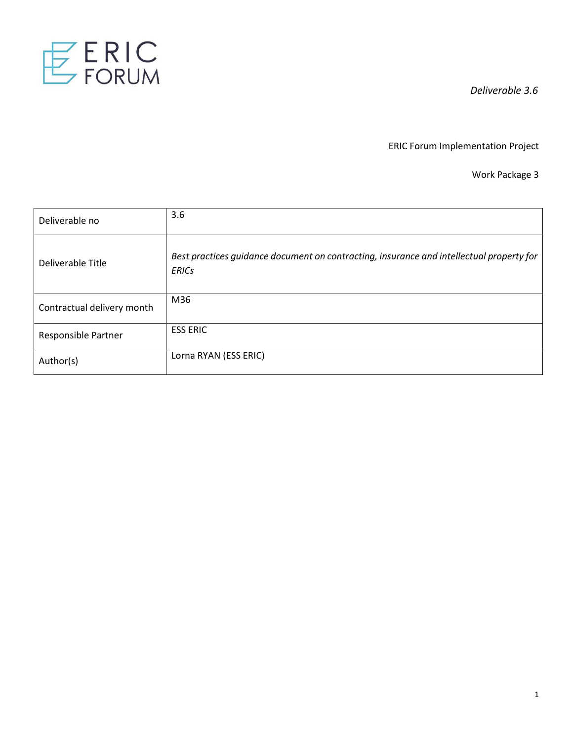

ERIC Forum Implementation Project

Work Package 3

| Deliverable no             | 3.6                                                                                                      |
|----------------------------|----------------------------------------------------------------------------------------------------------|
| Deliverable Title          | Best practices guidance document on contracting, insurance and intellectual property for<br><b>ERICs</b> |
| Contractual delivery month | M36                                                                                                      |
| Responsible Partner        | <b>ESS ERIC</b>                                                                                          |
| Author(s)                  | Lorna RYAN (ESS ERIC)                                                                                    |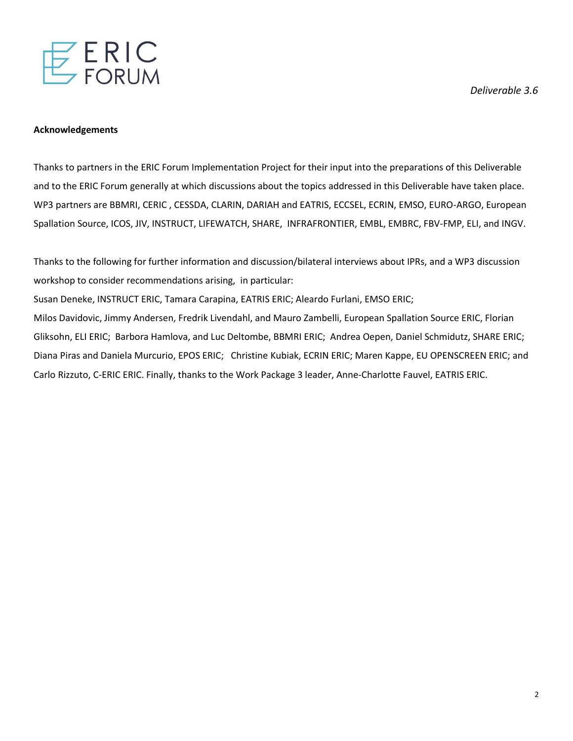

#### **Acknowledgements**

Thanks to partners in the ERIC Forum Implementation Project for their input into the preparations of this Deliverable and to the ERIC Forum generally at which discussions about the topics addressed in this Deliverable have taken place. WP3 partners are BBMRI, CERIC , CESSDA, CLARIN, DARIAH and EATRIS, ECCSEL, ECRIN, EMSO, EURO-ARGO, European Spallation Source, ICOS, JIV, INSTRUCT, LIFEWATCH, SHARE, INFRAFRONTIER, EMBL, EMBRC, FBV-FMP, ELI, and INGV.

Thanks to the following for further information and discussion/bilateral interviews about IPRs, and a WP3 discussion workshop to consider recommendations arising, in particular:

Susan Deneke, INSTRUCT ERIC, Tamara Carapina, EATRIS ERIC; Aleardo Furlani, EMSO ERIC;

Milos Davidovic, Jimmy Andersen, Fredrik Livendahl, and Mauro Zambelli, European Spallation Source ERIC, Florian Gliksohn, ELI ERIC; Barbora Hamlova, and Luc Deltombe, BBMRI ERIC; Andrea Oepen, Daniel Schmidutz, SHARE ERIC; Diana Piras and Daniela Murcurio, EPOS ERIC; Christine Kubiak, ECRIN ERIC; Maren Kappe, EU OPENSCREEN ERIC; and Carlo Rizzuto, C-ERIC ERIC. Finally, thanks to the Work Package 3 leader, Anne-Charlotte Fauvel, EATRIS ERIC.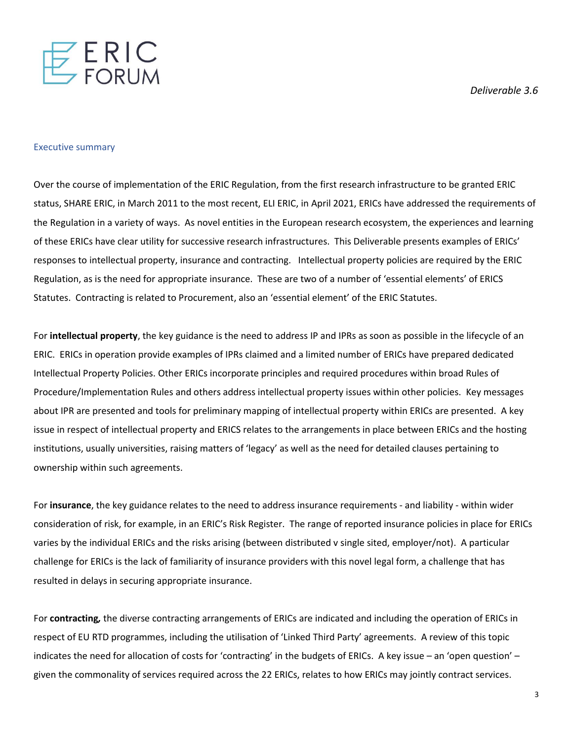

#### Executive summary

Over the course of implementation of the ERIC Regulation, from the first research infrastructure to be granted ERIC status, SHARE ERIC, in March 2011 to the most recent, ELI ERIC, in April 2021, ERICs have addressed the requirements of the Regulation in a variety of ways. As novel entities in the European research ecosystem, the experiences and learning of these ERICs have clear utility for successive research infrastructures. This Deliverable presents examples of ERICs' responses to intellectual property, insurance and contracting. Intellectual property policies are required by the ERIC Regulation, as is the need for appropriate insurance. These are two of a number of 'essential elements' of ERICS Statutes. Contracting is related to Procurement, also an 'essential element' of the ERIC Statutes.

For **intellectual property**, the key guidance is the need to address IP and IPRs as soon as possible in the lifecycle of an ERIC. ERICs in operation provide examples of IPRs claimed and a limited number of ERICs have prepared dedicated Intellectual Property Policies. Other ERICs incorporate principles and required procedures within broad Rules of Procedure/Implementation Rules and others address intellectual property issues within other policies. Key messages about IPR are presented and tools for preliminary mapping of intellectual property within ERICs are presented. A key issue in respect of intellectual property and ERICS relates to the arrangements in place between ERICs and the hosting institutions, usually universities, raising matters of 'legacy' as well as the need for detailed clauses pertaining to ownership within such agreements.

For **insurance**, the key guidance relates to the need to address insurance requirements - and liability - within wider consideration of risk, for example, in an ERIC's Risk Register. The range of reported insurance policies in place for ERICs varies by the individual ERICs and the risks arising (between distributed v single sited, employer/not). A particular challenge for ERICs is the lack of familiarity of insurance providers with this novel legal form, a challenge that has resulted in delays in securing appropriate insurance.

For **contracting***,* the diverse contracting arrangements of ERICs are indicated and including the operation of ERICs in respect of EU RTD programmes, including the utilisation of 'Linked Third Party' agreements. A review of this topic indicates the need for allocation of costs for 'contracting' in the budgets of ERICs. A key issue – an 'open question' – given the commonality of services required across the 22 ERICs, relates to how ERICs may jointly contract services.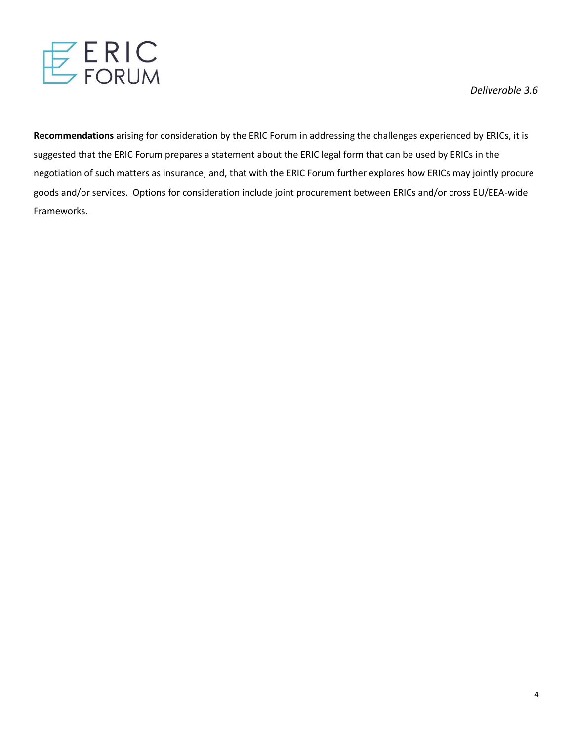

**Recommendations** arising for consideration by the ERIC Forum in addressing the challenges experienced by ERICs, it is suggested that the ERIC Forum prepares a statement about the ERIC legal form that can be used by ERICs in the negotiation of such matters as insurance; and, that with the ERIC Forum further explores how ERICs may jointly procure goods and/or services. Options for consideration include joint procurement between ERICs and/or cross EU/EEA-wide Frameworks.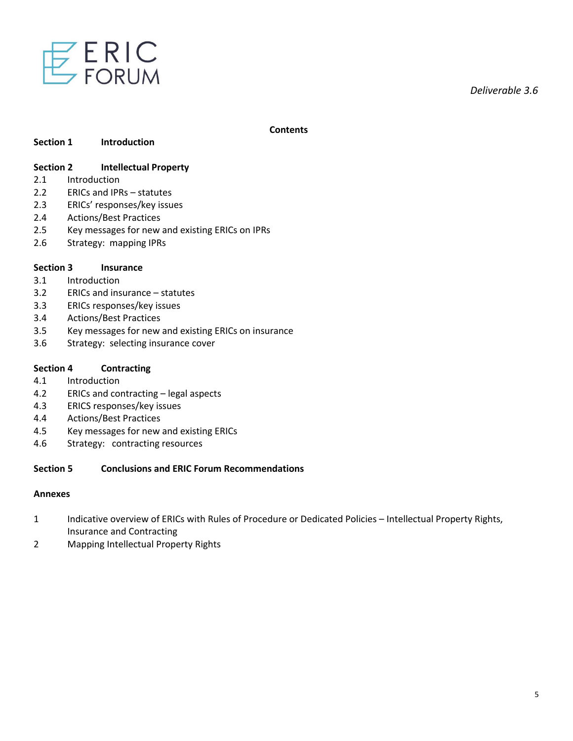

#### **Contents**

#### **Section 1 Introduction**

# **Section 2 Intellectual Property**

- 2.1 Introduction
- 2.2 ERICs and IPRs statutes
- 2.3 ERICs' responses/key issues
- 2.4 Actions/Best Practices
- 2.5 Key messages for new and existing ERICs on IPRs
- 2.6 Strategy: mapping IPRs

#### **Section 3 Insurance**

- 3.1 Introduction
- 3.2 ERICs and insurance statutes
- 3.3 ERICs responses/key issues
- 3.4 Actions/Best Practices
- 3.5 Key messages for new and existing ERICs on insurance
- 3.6 Strategy: selecting insurance cover

#### **Section 4 Contracting**

- 4.1 Introduction
- 4.2 ERICs and contracting legal aspects
- 4.3 ERICS responses/key issues
- 4.4 Actions/Best Practices
- 4.5 Key messages for new and existing ERICs
- 4.6 Strategy: contracting resources

#### **Section 5 Conclusions and ERIC Forum Recommendations**

#### **Annexes**

- 1 Indicative overview of ERICs with Rules of Procedure or Dedicated Policies Intellectual Property Rights, Insurance and Contracting
- 2 Mapping Intellectual Property Rights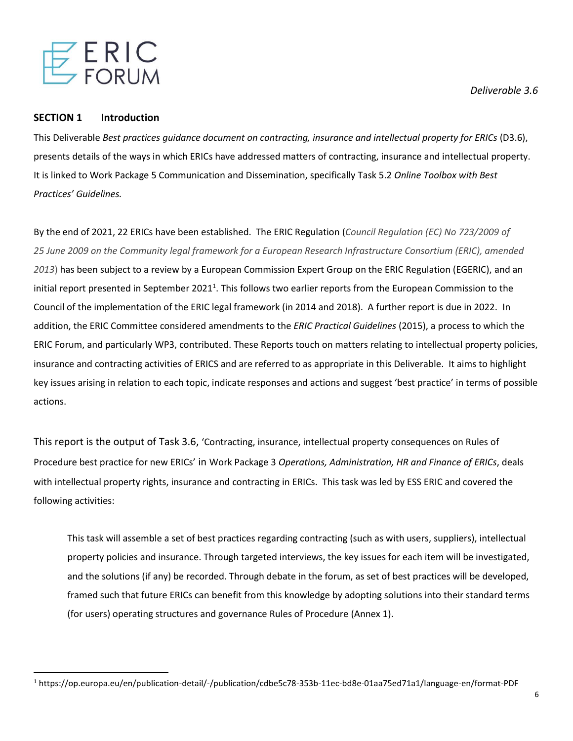

#### **SECTION 1 Introduction**

This Deliverable *Best practices guidance document on contracting, insurance and intellectual property for ERICs* (D3.6), presents details of the ways in which ERICs have addressed matters of contracting, insurance and intellectual property. It is linked to Work Package 5 Communication and Dissemination, specifically Task 5.2 *Online Toolbox with Best Practices' Guidelines.* 

By the end of 2021, 22 ERICs have been established. The ERIC Regulation (*Council Regulation (EC) No 723/2009 of 25 June 2009 on the Community legal framework for a European Research Infrastructure Consortium (ERIC), amended 2013*) has been subject to a review by a European Commission Expert Group on the ERIC Regulation (EGERIC), and an initial report presented in September 2021<sup>1</sup>. This follows two earlier reports from the European Commission to the Council of the implementation of the ERIC legal framework (in 2014 and 2018). A further report is due in 2022. In addition, the ERIC Committee considered amendments to the *ERIC Practical Guidelines* (2015), a process to which the ERIC Forum, and particularly WP3, contributed. These Reports touch on matters relating to intellectual property policies, insurance and contracting activities of ERICS and are referred to as appropriate in this Deliverable. It aims to highlight key issues arising in relation to each topic, indicate responses and actions and suggest 'best practice' in terms of possible actions.

This report is the output of Task 3.6, 'Contracting, insurance, intellectual property consequences on Rules of Procedure best practice for new ERICs' in Work Package 3 *Operations, Administration, HR and Finance of ERICs*, deals with intellectual property rights, insurance and contracting in ERICs. This task was led by ESS ERIC and covered the following activities:

This task will assemble a set of best practices regarding contracting (such as with users, suppliers), intellectual property policies and insurance. Through targeted interviews, the key issues for each item will be investigated, and the solutions (if any) be recorded. Through debate in the forum, as set of best practices will be developed, framed such that future ERICs can benefit from this knowledge by adopting solutions into their standard terms (for users) operating structures and governance Rules of Procedure (Annex 1).

*Deliverable 3.6* 

<sup>1</sup> https://op.europa.eu/en/publication-detail/-/publication/cdbe5c78-353b-11ec-bd8e-01aa75ed71a1/language-en/format-PDF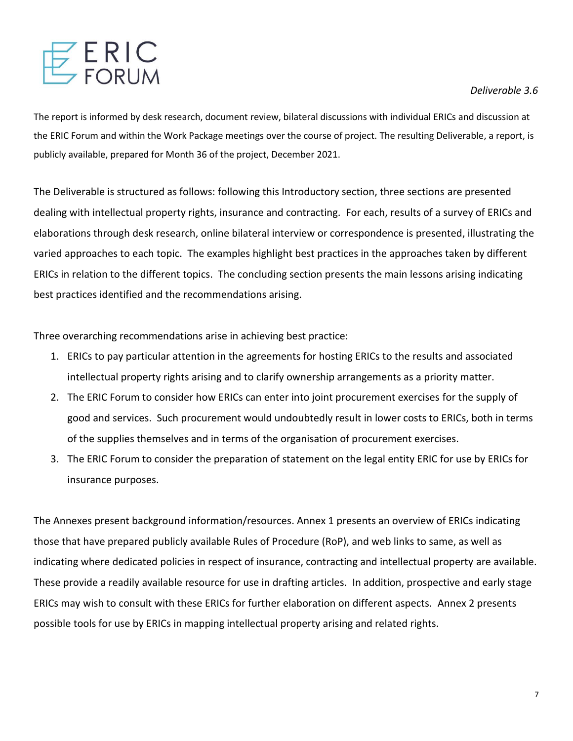

The report is informed by desk research, document review, bilateral discussions with individual ERICs and discussion at the ERIC Forum and within the Work Package meetings over the course of project. The resulting Deliverable, a report, is publicly available, prepared for Month 36 of the project, December 2021.

The Deliverable is structured as follows: following this Introductory section, three sections are presented dealing with intellectual property rights, insurance and contracting. For each, results of a survey of ERICs and elaborations through desk research, online bilateral interview or correspondence is presented, illustrating the varied approaches to each topic. The examples highlight best practices in the approaches taken by different ERICs in relation to the different topics. The concluding section presents the main lessons arising indicating best practices identified and the recommendations arising.

Three overarching recommendations arise in achieving best practice:

- 1. ERICs to pay particular attention in the agreements for hosting ERICs to the results and associated intellectual property rights arising and to clarify ownership arrangements as a priority matter.
- 2. The ERIC Forum to consider how ERICs can enter into joint procurement exercises for the supply of good and services. Such procurement would undoubtedly result in lower costs to ERICs, both in terms of the supplies themselves and in terms of the organisation of procurement exercises.
- 3. The ERIC Forum to consider the preparation of statement on the legal entity ERIC for use by ERICs for insurance purposes.

The Annexes present background information/resources. Annex 1 presents an overview of ERICs indicating those that have prepared publicly available Rules of Procedure (RoP), and web links to same, as well as indicating where dedicated policies in respect of insurance, contracting and intellectual property are available. These provide a readily available resource for use in drafting articles. In addition, prospective and early stage ERICs may wish to consult with these ERICs for further elaboration on different aspects. Annex 2 presents possible tools for use by ERICs in mapping intellectual property arising and related rights.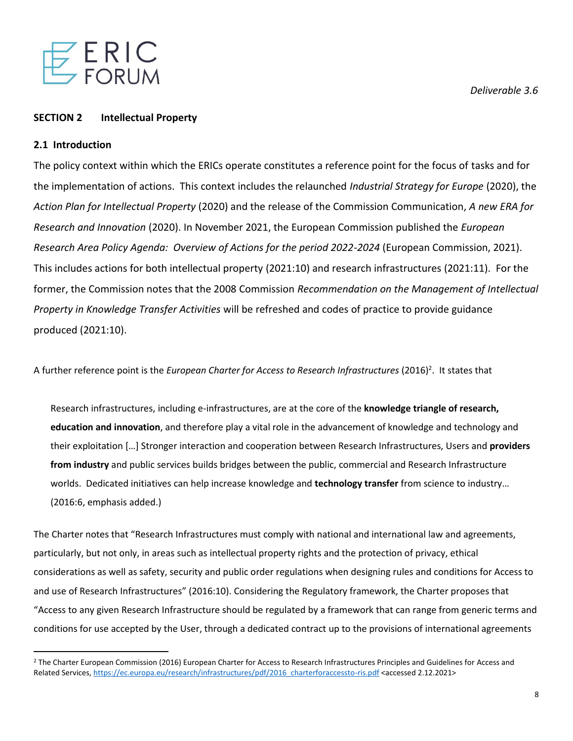

# **SECTION 2 Intellectual Property**

#### **2.1 Introduction**

The policy context within which the ERICs operate constitutes a reference point for the focus of tasks and for the implementation of actions. This context includes the relaunched *Industrial Strategy for Europe* (2020), the *Action Plan for Intellectual Property* (2020) and the release of the Commission Communication, *A new ERA for Research and Innovation* (2020). In November 2021, the European Commission published the *European Research Area Policy Agenda: Overview of Actions for the period 2022-2024* (European Commission, 2021). This includes actions for both intellectual property (2021:10) and research infrastructures (2021:11). For the former, the Commission notes that the 2008 Commission *Recommendation on the Management of Intellectual Property in Knowledge Transfer Activities* will be refreshed and codes of practice to provide guidance produced (2021:10).

A further reference point is the *European Charter for Access to Research Infrastructures* (2016)<sup>2</sup>. It states that

Research infrastructures, including e-infrastructures, are at the core of the **knowledge triangle of research, education and innovation**, and therefore play a vital role in the advancement of knowledge and technology and their exploitation […] Stronger interaction and cooperation between Research Infrastructures, Users and **providers from industry** and public services builds bridges between the public, commercial and Research Infrastructure worlds. Dedicated initiatives can help increase knowledge and **technology transfer** from science to industry… (2016:6, emphasis added.)

The Charter notes that "Research Infrastructures must comply with national and international law and agreements, particularly, but not only, in areas such as intellectual property rights and the protection of privacy, ethical considerations as well as safety, security and public order regulations when designing rules and conditions for Access to and use of Research Infrastructures" (2016:10). Considering the Regulatory framework, the Charter proposes that "Access to any given Research Infrastructure should be regulated by a framework that can range from generic terms and conditions for use accepted by the User, through a dedicated contract up to the provisions of international agreements

<sup>&</sup>lt;sup>2</sup> The Charter European Commission (2016) European Charter for Access to Research Infrastructures Principles and Guidelines for Access and Related Services, [https://ec.europa.eu/research/infrastructures/pdf/2016\\_charterforaccessto-ris.pdf](https://ec.europa.eu/research/infrastructures/pdf/2016_charterforaccessto-ris.pdf) <accessed 2.12.2021>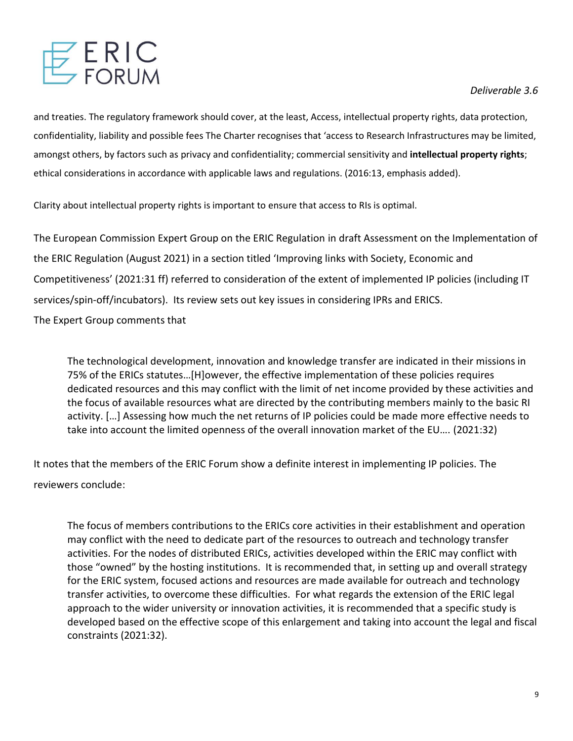

and treaties. The regulatory framework should cover, at the least, Access, intellectual property rights, data protection, confidentiality, liability and possible fees The Charter recognises that 'access to Research Infrastructures may be limited, amongst others, by factors such as privacy and confidentiality; commercial sensitivity and **intellectual property rights**; ethical considerations in accordance with applicable laws and regulations. (2016:13, emphasis added).

Clarity about intellectual property rights is important to ensure that access to RIs is optimal.

The European Commission Expert Group on the ERIC Regulation in draft Assessment on the Implementation of the ERIC Regulation (August 2021) in a section titled 'Improving links with Society, Economic and Competitiveness' (2021:31 ff) referred to consideration of the extent of implemented IP policies (including IT services/spin-off/incubators). Its review sets out key issues in considering IPRs and ERICS.

The Expert Group comments that

The technological development, innovation and knowledge transfer are indicated in their missions in 75% of the ERICs statutes…[H]owever, the effective implementation of these policies requires dedicated resources and this may conflict with the limit of net income provided by these activities and the focus of available resources what are directed by the contributing members mainly to the basic RI activity. […] Assessing how much the net returns of IP policies could be made more effective needs to take into account the limited openness of the overall innovation market of the EU…. (2021:32)

It notes that the members of the ERIC Forum show a definite interest in implementing IP policies. The reviewers conclude:

The focus of members contributions to the ERICs core activities in their establishment and operation may conflict with the need to dedicate part of the resources to outreach and technology transfer activities. For the nodes of distributed ERICs, activities developed within the ERIC may conflict with those "owned" by the hosting institutions. It is recommended that, in setting up and overall strategy for the ERIC system, focused actions and resources are made available for outreach and technology transfer activities, to overcome these difficulties. For what regards the extension of the ERIC legal approach to the wider university or innovation activities, it is recommended that a specific study is developed based on the effective scope of this enlargement and taking into account the legal and fiscal constraints (2021:32).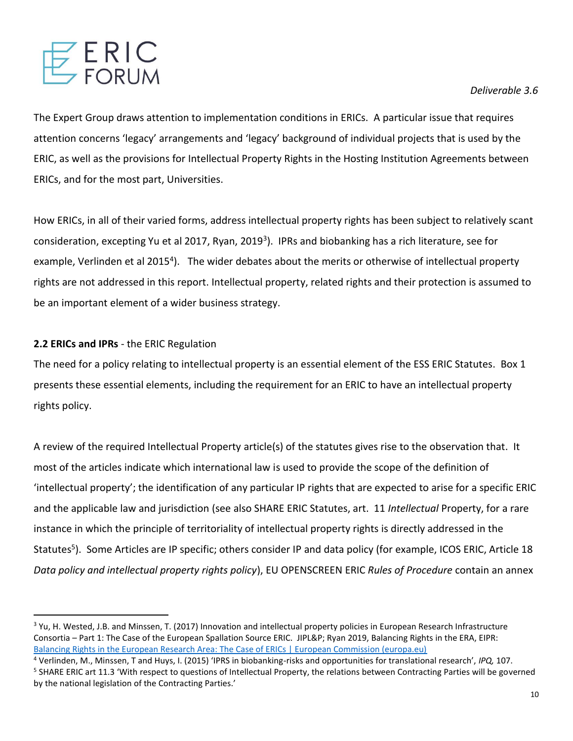

The Expert Group draws attention to implementation conditions in ERICs. A particular issue that requires attention concerns 'legacy' arrangements and 'legacy' background of individual projects that is used by the ERIC, as well as the provisions for Intellectual Property Rights in the Hosting Institution Agreements between ERICs, and for the most part, Universities.

How ERICs, in all of their varied forms, address intellectual property rights has been subject to relatively scant consideration, excepting Yu et al 2017, Ryan, 2019<sup>3</sup>). IPRs and biobanking has a rich literature, see for example, Verlinden et al 2015<sup>4</sup>). The wider debates about the merits or otherwise of intellectual property rights are not addressed in this report. Intellectual property, related rights and their protection is assumed to be an important element of a wider business strategy.

# **2.2 ERICs and IPRs** - the ERIC Regulation

The need for a policy relating to intellectual property is an essential element of the ESS ERIC Statutes. Box 1 presents these essential elements, including the requirement for an ERIC to have an intellectual property rights policy.

A review of the required Intellectual Property article(s) of the statutes gives rise to the observation that. It most of the articles indicate which international law is used to provide the scope of the definition of 'intellectual property'; the identification of any particular IP rights that are expected to arise for a specific ERIC and the applicable law and jurisdiction (see also SHARE ERIC Statutes, art. 11 *Intellectual* Property, for a rare instance in which the principle of territoriality of intellectual property rights is directly addressed in the Statutes<sup>5</sup>). Some Articles are IP specific; others consider IP and data policy (for example, ICOS ERIC, Article 18 *Data policy and intellectual property rights policy*), EU OPENSCREEN ERIC *Rules of Procedure* contain an annex

<sup>&</sup>lt;sup>3</sup> Yu, H. Wested, J.B. and Minssen, T. (2017) Innovation and intellectual property policies in European Research Infrastructure Consortia – Part 1: The Case of the European Spallation Source ERIC. JIPL&P; Ryan 2019, Balancing Rights in the ERA, EIPR: [Balancing Rights in the European Research Area: The Case of ERICs | European Commission \(europa.eu\)](https://ec.europa.eu/info/news/balancing-rights-european-research-area-case-erics-2019-jul-01_en)

<sup>4</sup> Verlinden, M., Minssen, T and Huys, I. (2015) 'IPRS in biobanking-risks and opportunities for translational research', *IPQ,* 107. <sup>5</sup> SHARE ERIC art 11.3 'With respect to questions of Intellectual Property, the relations between Contracting Parties will be governed by the national legislation of the Contracting Parties.'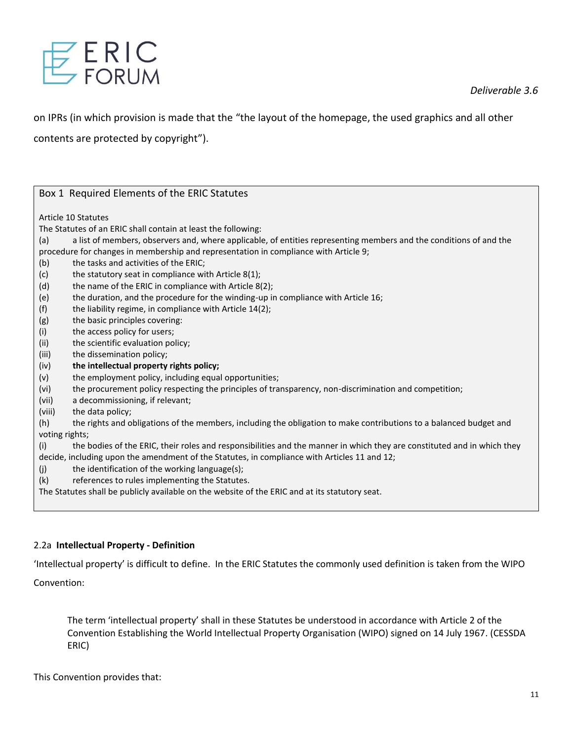

on IPRs (in which provision is made that the "the layout of the homepage, the used graphics and all other

contents are protected by copyright").

| Box 1 Required Elements of the ERIC Statutes                                                                                   |
|--------------------------------------------------------------------------------------------------------------------------------|
| Article 10 Statutes                                                                                                            |
| The Statutes of an ERIC shall contain at least the following:                                                                  |
| a list of members, observers and, where applicable, of entities representing members and the conditions of and the<br>(a)      |
| procedure for changes in membership and representation in compliance with Article 9;                                           |
| the tasks and activities of the ERIC;<br>(b)                                                                                   |
| the statutory seat in compliance with Article 8(1);<br>(c)                                                                     |
| (d)<br>the name of the ERIC in compliance with Article 8(2);                                                                   |
| the duration, and the procedure for the winding-up in compliance with Article 16;<br>(e)                                       |
| (f)<br>the liability regime, in compliance with Article 14(2);                                                                 |
| (g)<br>the basic principles covering:                                                                                          |
| (i)<br>the access policy for users;                                                                                            |
| (ii)<br>the scientific evaluation policy;                                                                                      |
| (iii)<br>the dissemination policy;                                                                                             |
| the intellectual property rights policy;<br>(iv)                                                                               |
| the employment policy, including equal opportunities;<br>(v)                                                                   |
| (vi)<br>the procurement policy respecting the principles of transparency, non-discrimination and competition;                  |
| (vii)<br>a decommissioning, if relevant;                                                                                       |
| (viii)<br>the data policy;                                                                                                     |
| (h)<br>the rights and obligations of the members, including the obligation to make contributions to a balanced budget and      |
| voting rights;                                                                                                                 |
| the bodies of the ERIC, their roles and responsibilities and the manner in which they are constituted and in which they<br>(i) |
| decide, including upon the amendment of the Statutes, in compliance with Articles 11 and 12;                                   |
| the identification of the working language(s);<br>(j)                                                                          |
| references to rules implementing the Statutes.<br>(k)                                                                          |
| The Statutes shall be publicly available on the website of the ERIC and at its statutory seat.                                 |
|                                                                                                                                |

# 2.2a **Intellectual Property - Definition**

'Intellectual property' is difficult to define. In the ERIC Statutes the commonly used definition is taken from the WIPO Convention:

The term 'intellectual property' shall in these Statutes be understood in accordance with Article 2 of the Convention Establishing the World Intellectual Property Organisation (WIPO) signed on 14 July 1967. (CESSDA ERIC)

This Convention provides that: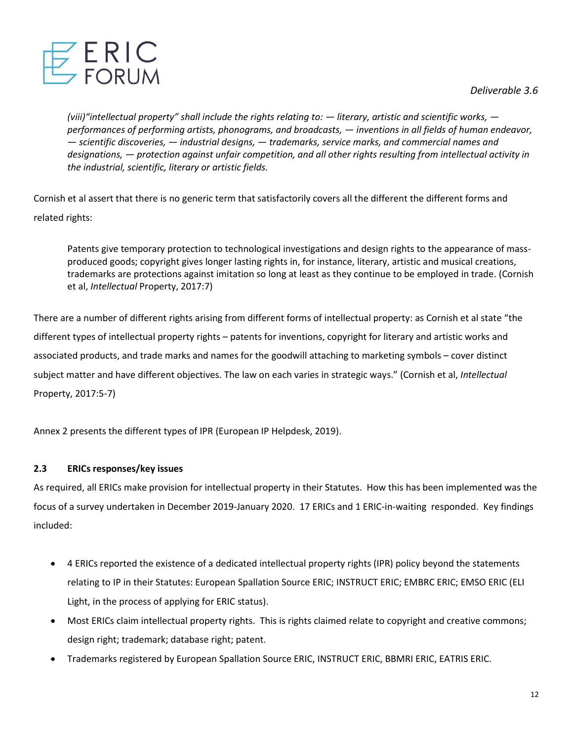Z E R I C<br>Z forum

*Deliverable 3.6* 

*(viii)"intellectual property" shall include the rights relating to: — literary, artistic and scientific works, performances of performing artists, phonograms, and broadcasts, — inventions in all fields of human endeavor, — scientific discoveries, — industrial designs, — trademarks, service marks, and commercial names and designations, — protection against unfair competition, and all other rights resulting from intellectual activity in the industrial, scientific, literary or artistic fields.*

Cornish et al assert that there is no generic term that satisfactorily covers all the different the different forms and related rights:

Patents give temporary protection to technological investigations and design rights to the appearance of massproduced goods; copyright gives longer lasting rights in, for instance, literary, artistic and musical creations, trademarks are protections against imitation so long at least as they continue to be employed in trade. (Cornish et al, *Intellectual* Property, 2017:7)

There are a number of different rights arising from different forms of intellectual property: as Cornish et al state "the different types of intellectual property rights – patents for inventions, copyright for literary and artistic works and associated products, and trade marks and names for the goodwill attaching to marketing symbols – cover distinct subject matter and have different objectives. The law on each varies in strategic ways." (Cornish et al, *Intellectual*  Property, 2017:5-7)

Annex 2 presents the different types of IPR (European IP Helpdesk, 2019).

# **2.3 ERICs responses/key issues**

As required, all ERICs make provision for intellectual property in their Statutes. How this has been implemented was the focus of a survey undertaken in December 2019-January 2020. 17 ERICs and 1 ERIC-in-waiting responded. Key findings included:

- 4 ERICs reported the existence of a dedicated intellectual property rights (IPR) policy beyond the statements relating to IP in their Statutes: European Spallation Source ERIC; INSTRUCT ERIC; EMBRC ERIC; EMSO ERIC (ELI Light, in the process of applying for ERIC status).
- Most ERICs claim intellectual property rights. This is rights claimed relate to copyright and creative commons; design right; trademark; database right; patent.
- Trademarks registered by European Spallation Source ERIC, INSTRUCT ERIC, BBMRI ERIC, EATRIS ERIC.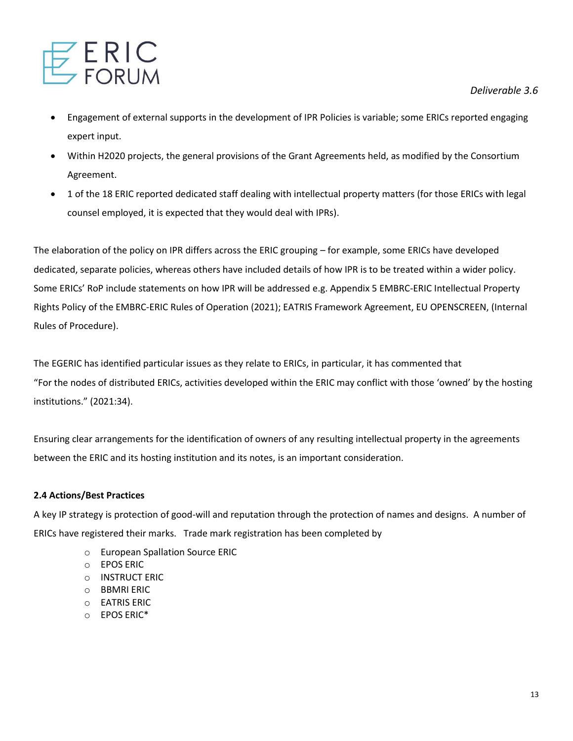

- Engagement of external supports in the development of IPR Policies is variable; some ERICs reported engaging expert input.
- Within H2020 projects, the general provisions of the Grant Agreements held, as modified by the Consortium Agreement.
- 1 of the 18 ERIC reported dedicated staff dealing with intellectual property matters (for those ERICs with legal counsel employed, it is expected that they would deal with IPRs).

The elaboration of the policy on IPR differs across the ERIC grouping – for example, some ERICs have developed dedicated, separate policies, whereas others have included details of how IPR is to be treated within a wider policy. Some ERICs' RoP include statements on how IPR will be addressed e.g. Appendix 5 EMBRC-ERIC Intellectual Property Rights Policy of the EMBRC-ERIC Rules of Operation (2021); EATRIS Framework Agreement, EU OPENSCREEN, (Internal Rules of Procedure).

The EGERIC has identified particular issues as they relate to ERICs, in particular, it has commented that "For the nodes of distributed ERICs, activities developed within the ERIC may conflict with those 'owned' by the hosting institutions." (2021:34).

Ensuring clear arrangements for the identification of owners of any resulting intellectual property in the agreements between the ERIC and its hosting institution and its notes, is an important consideration.

# **2.4 Actions/Best Practices**

A key IP strategy is protection of good-will and reputation through the protection of names and designs. A number of ERICs have registered their marks. Trade mark registration has been completed by

- o European Spallation Source ERIC
- o EPOS ERIC
- o INSTRUCT ERIC
- o BBMRI ERIC
- o EATRIS ERIC
- o EPOS ERIC\*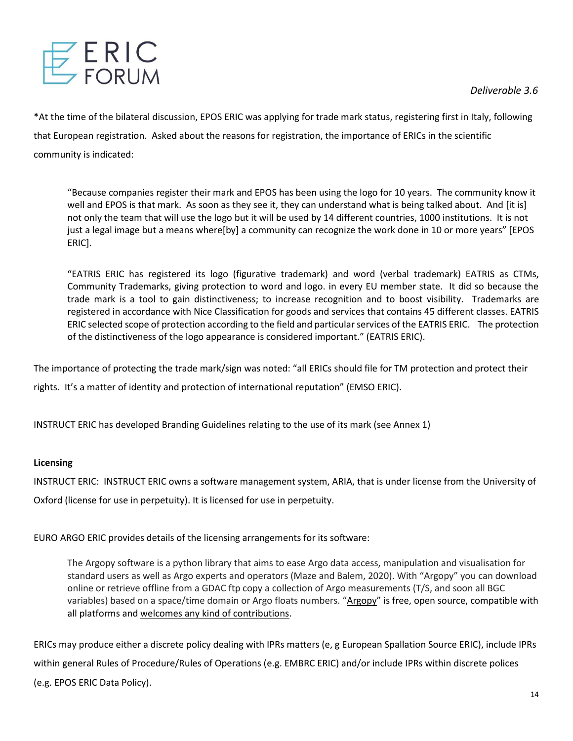

\*At the time of the bilateral discussion, EPOS ERIC was applying for trade mark status, registering first in Italy, following that European registration. Asked about the reasons for registration, the importance of ERICs in the scientific community is indicated:

"Because companies register their mark and EPOS has been using the logo for 10 years. The community know it well and EPOS is that mark. As soon as they see it, they can understand what is being talked about. And [it is] not only the team that will use the logo but it will be used by 14 different countries, 1000 institutions. It is not just a legal image but a means where[by] a community can recognize the work done in 10 or more years" [EPOS ERIC].

"EATRIS ERIC has registered its logo (figurative trademark) and word (verbal trademark) EATRIS as CTMs, Community Trademarks, giving protection to word and logo. in every EU member state. It did so because the trade mark is a tool to gain distinctiveness; to increase recognition and to boost visibility. Trademarks are registered in accordance with Nice Classification for goods and services that contains 45 different classes. EATRIS ERIC selected scope of protection according to the field and particular services of the EATRIS ERIC. The protection of the distinctiveness of the logo appearance is considered important." (EATRIS ERIC).

The importance of protecting the trade mark/sign was noted: "all ERICs should file for TM protection and protect their

rights. It's a matter of identity and protection of international reputation" (EMSO ERIC).

INSTRUCT ERIC has developed Branding Guidelines relating to the use of its mark (see Annex 1)

# **Licensing**

INSTRUCT ERIC: INSTRUCT ERIC owns a software management system, ARIA, that is under license from the University of

Oxford (license for use in perpetuity). It is licensed for use in perpetuity.

EURO ARGO ERIC provides details of the licensing arrangements for its software:

The Argopy software is a python library that aims to ease Argo data access, manipulation and visualisation for standard users as well as Argo experts and operators (Maze and Balem, 2020). With "Argopy" you can download online or retrieve offline from a GDAC ftp copy a collection of Argo measurements (T/S, and soon all BGC variables) based on a space/time domain or Argo floats numbers. "[Argopy](https://github.com/euroargodev/argopy)" is free, open source, compatible with all platforms and [welcomes any kind of contributions.](https://argopy.readthedocs.io/en/latest/contributing.html)

ERICs may produce either a discrete policy dealing with IPRs matters (e, g European Spallation Source ERIC), include IPRs within general Rules of Procedure/Rules of Operations (e.g. EMBRC ERIC) and/or include IPRs within discrete polices (e.g. EPOS ERIC Data Policy).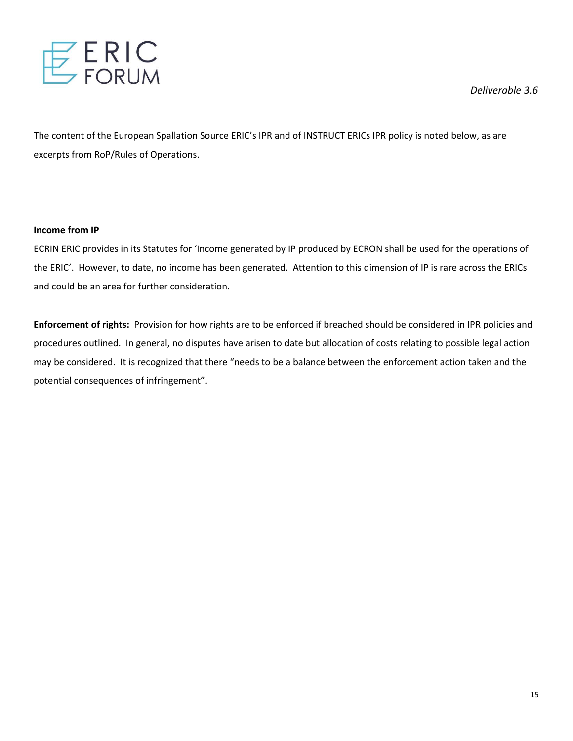

The content of the European Spallation Source ERIC's IPR and of INSTRUCT ERICs IPR policy is noted below, as are excerpts from RoP/Rules of Operations.

#### **Income from IP**

ECRIN ERIC provides in its Statutes for 'Income generated by IP produced by ECRON shall be used for the operations of the ERIC'. However, to date, no income has been generated. Attention to this dimension of IP is rare across the ERICs and could be an area for further consideration.

**Enforcement of rights:** Provision for how rights are to be enforced if breached should be considered in IPR policies and procedures outlined. In general, no disputes have arisen to date but allocation of costs relating to possible legal action may be considered. It is recognized that there "needs to be a balance between the enforcement action taken and the potential consequences of infringement".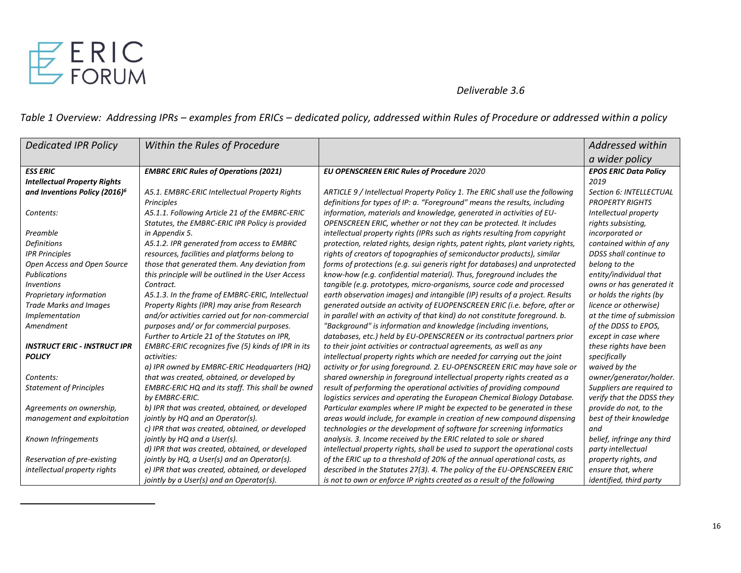

*Table 1 Overview: Addressing IPRs – examples from ERICs – dedicated policy, addressed within Rules of Procedure or addressed within a policy*

| <b>Dedicated IPR Policy</b>               | Within the Rules of Procedure                      |                                                                                 | Addressed within             |
|-------------------------------------------|----------------------------------------------------|---------------------------------------------------------------------------------|------------------------------|
|                                           |                                                    |                                                                                 | a wider policy               |
| <b>ESS ERIC</b>                           | <b>EMBRC ERIC Rules of Operations (2021)</b>       | <b>EU OPENSCREEN ERIC Rules of Procedure 2020</b>                               | <b>EPOS ERIC Data Policy</b> |
| <b>Intellectual Property Rights</b>       |                                                    |                                                                                 | 2019                         |
| and Inventions Policy (2016) <sup>6</sup> | A5.1. EMBRC-ERIC Intellectual Property Rights      | ARTICLE 9 / Intellectual Property Policy 1. The ERIC shall use the following    | Section 6: INTELLECTUAL      |
|                                           | Principles                                         | definitions for types of IP: a. "Foreground" means the results, including       | <b>PROPERTY RIGHTS</b>       |
| Contents:                                 | A5.1.1. Following Article 21 of the EMBRC-ERIC     | information, materials and knowledge, generated in activities of EU-            | Intellectual property        |
|                                           | Statutes, the EMBRC-ERIC IPR Policy is provided    | OPENSCREEN ERIC, whether or not they can be protected. It includes              | rights subsisting,           |
| Preamble                                  | in Appendix 5.                                     | intellectual property rights (IPRs such as rights resulting from copyright      | incorporated or              |
| <b>Definitions</b>                        | A5.1.2. IPR generated from access to EMBRC         | protection, related rights, design rights, patent rights, plant variety rights, | contained within of any      |
| <b>IPR Principles</b>                     | resources, facilities and platforms belong to      | rights of creators of topographies of semiconductor products), similar          | DDSS shall continue to       |
| Open Access and Open Source               | those that generated them. Any deviation from      | forms of protections (e.g. sui generis right for databases) and unprotected     | belong to the                |
| <b>Publications</b>                       | this principle will be outlined in the User Access | know-how (e.g. confidential material). Thus, foreground includes the            | entity/individual that       |
| <i>Inventions</i>                         | Contract.                                          | tangible (e.g. prototypes, micro-organisms, source code and processed           | owns or has generated it     |
| Proprietary information                   | A5.1.3. In the frame of EMBRC-ERIC, Intellectual   | earth observation images) and intangible (IP) results of a project. Results     | or holds the rights (by      |
| <b>Trade Marks and Images</b>             | Property Rights (IPR) may arise from Research      | generated outside an activity of EUOPENSCREEN ERIC (i.e. before, after or       | licence or otherwise)        |
| Implementation                            | and/or activities carried out for non-commercial   | in parallel with an activity of that kind) do not constitute foreground. b.     | at the time of submission    |
| Amendment                                 | purposes and/ or for commercial purposes.          | "Background" is information and knowledge (including inventions,                | of the DDSS to EPOS,         |
|                                           | Further to Article 21 of the Statutes on IPR,      | databases, etc.) held by EU-OPENSCREEN or its contractual partners prior        | except in case where         |
| <b>INSTRUCT ERIC - INSTRUCT IPR</b>       | EMBRC-ERIC recognizes five (5) kinds of IPR in its | to their joint activities or contractual agreements, as well as any             | these rights have been       |
| <b>POLICY</b>                             | activities:                                        | intellectual property rights which are needed for carrying out the joint        | specifically                 |
|                                           | a) IPR owned by EMBRC-ERIC Headquarters (HQ)       | activity or for using foreground. 2. EU-OPENSCREEN ERIC may have sole or        | waived by the                |
| Contents:                                 | that was created, obtained, or developed by        | shared ownership in foreground intellectual property rights created as a        | owner/generator/holder.      |
| <b>Statement of Principles</b>            | EMBRC-ERIC HQ and its staff. This shall be owned   | result of performing the operational activities of providing compound           | Suppliers are required to    |
|                                           | by EMBRC-ERIC.                                     | logistics services and operating the European Chemical Biology Database.        | verify that the DDSS they    |
| Agreements on ownership,                  | b) IPR that was created, obtained, or developed    | Particular examples where IP might be expected to be generated in these         | provide do not, to the       |
| management and exploitation               | jointly by HQ and an Operator(s).                  | areas would include, for example in creation of new compound dispensing         | best of their knowledge      |
|                                           | c) IPR that was created, obtained, or developed    | technologies or the development of software for screening informatics           | and                          |
| Known Infringements                       | jointly by HQ and a User(s).                       | analysis. 3. Income received by the ERIC related to sole or shared              | belief, infringe any third   |
|                                           | d) IPR that was created, obtained, or developed    | intellectual property rights, shall be used to support the operational costs    | party intellectual           |
| Reservation of pre-existing               | jointly by HQ, a User(s) and an Operator(s).       | of the ERIC up to a threshold of 20% of the annual operational costs, as        | property rights, and         |
| intellectual property rights              | e) IPR that was created, obtained, or developed    | described in the Statutes 27(3). 4. The policy of the EU-OPENSCREEN ERIC        | ensure that, where           |
|                                           | jointly by a User(s) and an Operator(s).           | is not to own or enforce IP rights created as a result of the following         | identified, third party      |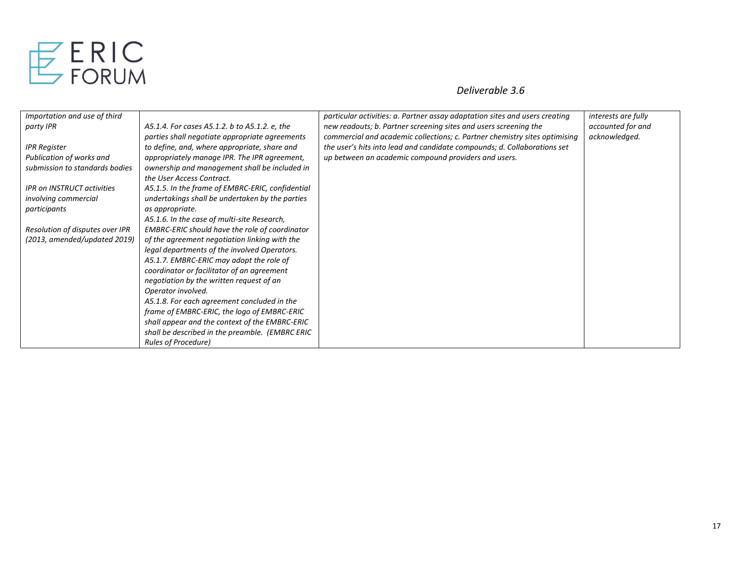

| Importation and use of third      |                                                  | particular activities: a. Partner assay adaptation sites and users creating | interests are fully |
|-----------------------------------|--------------------------------------------------|-----------------------------------------------------------------------------|---------------------|
| party IPR                         | A5.1.4. For cases A5.1.2. b to A5.1.2. e, the    | new readouts; b. Partner screening sites and users screening the            | accounted for and   |
|                                   | parties shall negotiate appropriate agreements   | commercial and academic collections; c. Partner chemistry sites optimising  | acknowledged.       |
| <b>IPR Register</b>               | to define, and, where appropriate, share and     | the user's hits into lead and candidate compounds; d. Collaborations set    |                     |
| Publication of works and          | appropriately manage IPR. The IPR agreement,     | up between an academic compound providers and users.                        |                     |
| submission to standards bodies    | ownership and management shall be included in    |                                                                             |                     |
|                                   | the User Access Contract.                        |                                                                             |                     |
| <b>IPR on INSTRUCT activities</b> | A5.1.5. In the frame of EMBRC-ERIC, confidential |                                                                             |                     |
| involving commercial              | undertakings shall be undertaken by the parties  |                                                                             |                     |
| participants                      | as appropriate.                                  |                                                                             |                     |
|                                   | A5.1.6. In the case of multi-site Research,      |                                                                             |                     |
| Resolution of disputes over IPR   | EMBRC-ERIC should have the role of coordinator   |                                                                             |                     |
| (2013, amended/updated 2019)      | of the agreement negotiation linking with the    |                                                                             |                     |
|                                   | legal departments of the involved Operators.     |                                                                             |                     |
|                                   | A5.1.7. EMBRC-ERIC may adopt the role of         |                                                                             |                     |
|                                   | coordinator or facilitator of an agreement       |                                                                             |                     |
|                                   | negotiation by the written request of an         |                                                                             |                     |
|                                   | Operator involved.                               |                                                                             |                     |
|                                   | A5.1.8. For each agreement concluded in the      |                                                                             |                     |
|                                   | frame of EMBRC-ERIC, the logo of EMBRC-ERIC      |                                                                             |                     |
|                                   | shall appear and the context of the EMBRC-ERIC   |                                                                             |                     |
|                                   | shall be described in the preamble. (EMBRC ERIC  |                                                                             |                     |
|                                   | <b>Rules of Procedure)</b>                       |                                                                             |                     |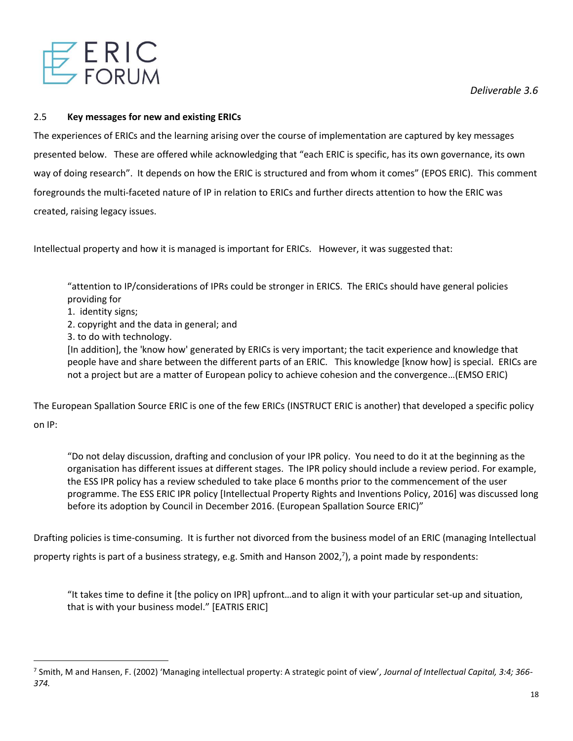

# 2.5 **Key messages for new and existing ERICs**

The experiences of ERICs and the learning arising over the course of implementation are captured by key messages presented below. These are offered while acknowledging that "each ERIC is specific, has its own governance, its own way of doing research". It depends on how the ERIC is structured and from whom it comes" (EPOS ERIC). This comment foregrounds the multi-faceted nature of IP in relation to ERICs and further directs attention to how the ERIC was created, raising legacy issues.

Intellectual property and how it is managed is important for ERICs. However, it was suggested that:

"attention to IP/considerations of IPRs could be stronger in ERICS. The ERICs should have general policies providing for

- 1. identity signs;
- 2. copyright and the data in general; and
- 3. to do with technology.

[In addition], the 'know how' generated by ERICs is very important; the tacit experience and knowledge that people have and share between the different parts of an ERIC. This knowledge [know how] is special. ERICs are not a project but are a matter of European policy to achieve cohesion and the convergence…(EMSO ERIC)

The European Spallation Source ERIC is one of the few ERICs (INSTRUCT ERIC is another) that developed a specific policy on IP:

"Do not delay discussion, drafting and conclusion of your IPR policy. You need to do it at the beginning as the organisation has different issues at different stages. The IPR policy should include a review period. For example, the ESS IPR policy has a review scheduled to take place 6 months prior to the commencement of the user programme. The ESS ERIC IPR policy [Intellectual Property Rights and Inventions Policy, 2016] was discussed long before its adoption by Council in December 2016. (European Spallation Source ERIC)"

Drafting policies is time-consuming. It is further not divorced from the business model of an ERIC (managing Intellectual

property rights is part of a business strategy, e.g. Smith and Hanson 2002,<sup>7</sup>), a point made by respondents:

"It takes time to define it [the policy on IPR] upfront…and to align it with your particular set-up and situation, that is with your business model." [EATRIS ERIC]

<sup>7</sup> Smith, M and Hansen, F. (2002) 'Managing intellectual property: A strategic point of view'*, Journal of Intellectual Capital, 3:4; 366- 374.*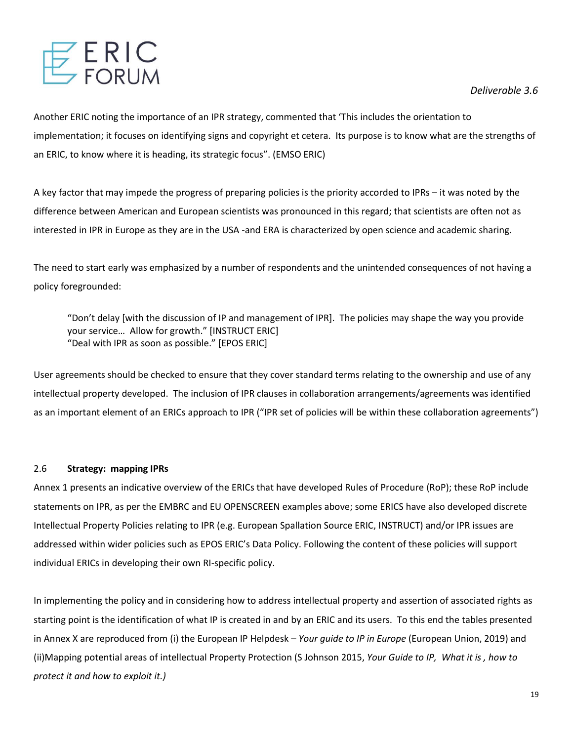

Another ERIC noting the importance of an IPR strategy, commented that 'This includes the orientation to implementation; it focuses on identifying signs and copyright et cetera. Its purpose is to know what are the strengths of an ERIC, to know where it is heading, its strategic focus". (EMSO ERIC)

A key factor that may impede the progress of preparing policies is the priority accorded to IPRs – it was noted by the difference between American and European scientists was pronounced in this regard; that scientists are often not as interested in IPR in Europe as they are in the USA -and ERA is characterized by open science and academic sharing.

The need to start early was emphasized by a number of respondents and the unintended consequences of not having a policy foregrounded:

"Don't delay [with the discussion of IP and management of IPR]. The policies may shape the way you provide your service… Allow for growth." [INSTRUCT ERIC] "Deal with IPR as soon as possible." [EPOS ERIC]

User agreements should be checked to ensure that they cover standard terms relating to the ownership and use of any intellectual property developed. The inclusion of IPR clauses in collaboration arrangements/agreements was identified as an important element of an ERICs approach to IPR ("IPR set of policies will be within these collaboration agreements")

# 2.6 **Strategy: mapping IPRs**

Annex 1 presents an indicative overview of the ERICs that have developed Rules of Procedure (RoP); these RoP include statements on IPR, as per the EMBRC and EU OPENSCREEN examples above; some ERICS have also developed discrete Intellectual Property Policies relating to IPR (e.g. European Spallation Source ERIC, INSTRUCT) and/or IPR issues are addressed within wider policies such as EPOS ERIC's Data Policy. Following the content of these policies will support individual ERICs in developing their own RI-specific policy.

In implementing the policy and in considering how to address intellectual property and assertion of associated rights as starting point is the identification of what IP is created in and by an ERIC and its users. To this end the tables presented in Annex X are reproduced from (i) the European IP Helpdesk – *Your guide to IP in Europe* (European Union, 2019) and (ii)Mapping potential areas of intellectual Property Protection (S Johnson 2015, *Your Guide to IP, What it is , how to protect it and how to exploit it.)*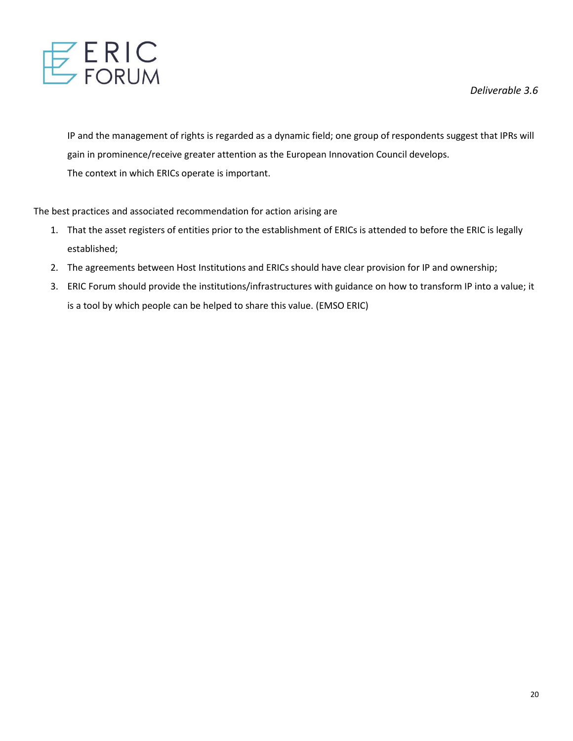

IP and the management of rights is regarded as a dynamic field; one group of respondents suggest that IPRs will gain in prominence/receive greater attention as the European Innovation Council develops. The context in which ERICs operate is important.

The best practices and associated recommendation for action arising are

- 1. That the asset registers of entities prior to the establishment of ERICs is attended to before the ERIC is legally established;
- 2. The agreements between Host Institutions and ERICs should have clear provision for IP and ownership;
- 3. ERIC Forum should provide the institutions/infrastructures with guidance on how to transform IP into a value; it is a tool by which people can be helped to share this value. (EMSO ERIC)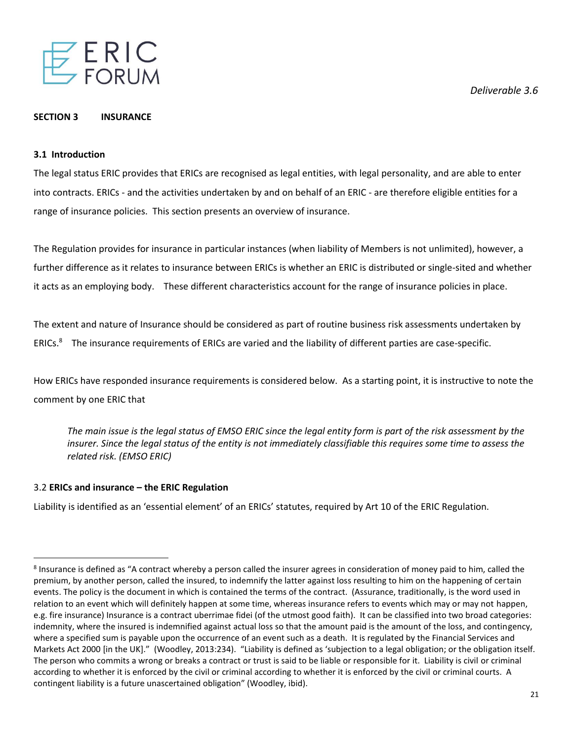

#### **SECTION 3 INSURANCE**

# **3.1 Introduction**

The legal status ERIC provides that ERICs are recognised as legal entities, with legal personality, and are able to enter into contracts. ERICs - and the activities undertaken by and on behalf of an ERIC - are therefore eligible entities for a range of insurance policies. This section presents an overview of insurance.

The Regulation provides for insurance in particular instances (when liability of Members is not unlimited), however, a further difference as it relates to insurance between ERICs is whether an ERIC is distributed or single-sited and whether it acts as an employing body. These different characteristics account for the range of insurance policies in place.

The extent and nature of Insurance should be considered as part of routine business risk assessments undertaken by ERICs.<sup>8</sup> The insurance requirements of ERICs are varied and the liability of different parties are case-specific.

How ERICs have responded insurance requirements is considered below. As a starting point, it is instructive to note the comment by one ERIC that

*The main issue is the legal status of EMSO ERIC since the legal entity form is part of the risk assessment by the insurer. Since the legal status of the entity is not immediately classifiable this requires some time to assess the related risk. (EMSO ERIC)*

# 3.2 **ERICs and insurance – the ERIC Regulation**

Liability is identified as an 'essential element' of an ERICs' statutes, required by Art 10 of the ERIC Regulation.

*Deliverable 3.6* 

<sup>&</sup>lt;sup>8</sup> Insurance is defined as "A contract whereby a person called the insurer agrees in consideration of money paid to him, called the premium, by another person, called the insured, to indemnify the latter against loss resulting to him on the happening of certain events. The policy is the document in which is contained the terms of the contract. (Assurance, traditionally, is the word used in relation to an event which will definitely happen at some time, whereas insurance refers to events which may or may not happen, e.g. fire insurance) Insurance is a contract uberrimae fidei (of the utmost good faith). It can be classified into two broad categories: indemnity, where the insured is indemnified against actual loss so that the amount paid is the amount of the loss, and contingency, where a specified sum is payable upon the occurrence of an event such as a death. It is regulated by the Financial Services and Markets Act 2000 [in the UK]." (Woodley, 2013:234). "Liability is defined as 'subjection to a legal obligation; or the obligation itself. The person who commits a wrong or breaks a contract or trust is said to be liable or responsible for it. Liability is civil or criminal according to whether it is enforced by the civil or criminal according to whether it is enforced by the civil or criminal courts. A contingent liability is a future unascertained obligation" (Woodley, ibid).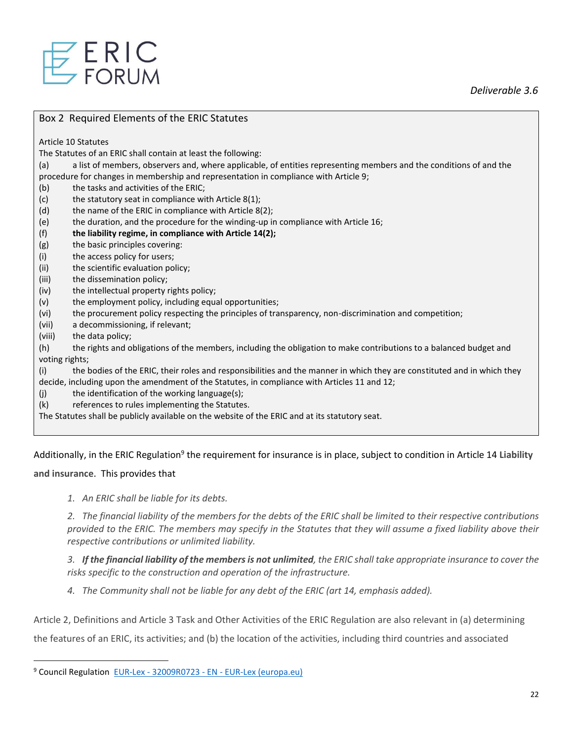

#### Box 2 Required Elements of the ERIC Statutes

Article 10 Statutes

The Statutes of an ERIC shall contain at least the following:

(a) a list of members, observers and, where applicable, of entities representing members and the conditions of and the procedure for changes in membership and representation in compliance with Article 9;

(b) the tasks and activities of the ERIC;

- (c) the statutory seat in compliance with Article 8(1);
- (d) the name of the ERIC in compliance with Article 8(2);
- (e) the duration, and the procedure for the winding-up in compliance with Article 16;
- (f) **the liability regime, in compliance with Article 14(2);**
- (g) the basic principles covering:
- (i) the access policy for users;
- (ii) the scientific evaluation policy;
- (iii) the dissemination policy;
- (iv) the intellectual property rights policy;
- (v) the employment policy, including equal opportunities;
- (vi) the procurement policy respecting the principles of transparency, non-discrimination and competition;
- (vii) a decommissioning, if relevant;
- (viii) the data policy;

(h) the rights and obligations of the members, including the obligation to make contributions to a balanced budget and voting rights;

(i) the bodies of the ERIC, their roles and responsibilities and the manner in which they are constituted and in which they decide, including upon the amendment of the Statutes, in compliance with Articles 11 and 12;

- (j) the identification of the working language(s);
- (k) references to rules implementing the Statutes.

The Statutes shall be publicly available on the website of the ERIC and at its statutory seat.

Additionally, in the ERIC Regulation<sup>9</sup> the requirement for insurance is in place, subject to condition in Article 14 Liability

**and insurance**. This provides that

*1. An ERIC shall be liable for its debts.*

*2. The financial liability of the members for the debts of the ERIC shall be limited to their respective contributions provided to the ERIC. The members may specify in the Statutes that they will assume a fixed liability above their respective contributions or unlimited liability.*

*3. If the financial liability of the members is not unlimited, the ERIC shall take appropriate insurance to cover the risks specific to the construction and operation of the infrastructure.*

*4. The Community shall not be liable for any debt of the ERIC (art 14, emphasis added).*

Article 2, Definitions and Article 3 Task and Other Activities of the ERIC Regulation are also relevant in (a) determining

the features of an ERIC, its activities; and (b) the location of the activities, including third countries and associated

<sup>9</sup> Council Regulation EUR-Lex - 32009R0723 - EN - [EUR-Lex \(europa.eu\)](https://eur-lex.europa.eu/legal-content/EN/TXT/?uri=CELEX:32009R0723)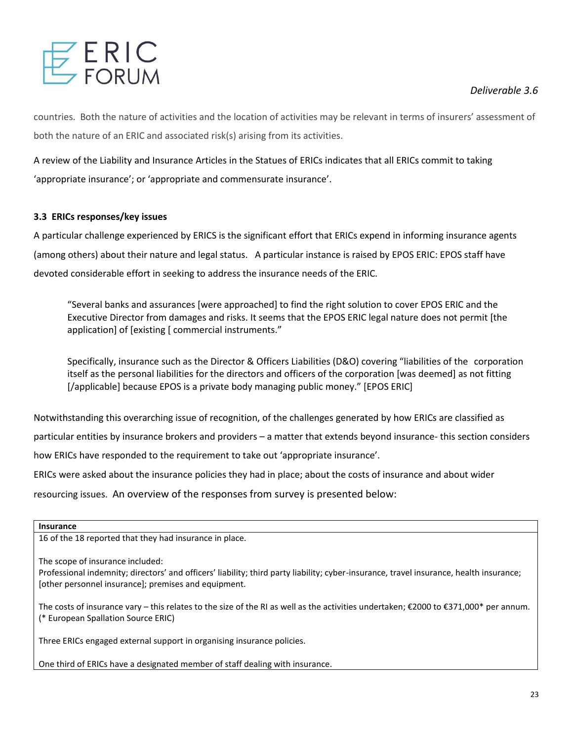countries. Both the nature of activities and the location of activities may be relevant in terms of insurers' assessment of both the nature of an ERIC and associated risk(s) arising from its activities.

A review of the Liability and Insurance Articles in the Statues of ERICs indicates that all ERICs commit to taking 'appropriate insurance'; or 'appropriate and commensurate insurance'.

# **3.3 ERICs responses/key issues**

A particular challenge experienced by ERICS is the significant effort that ERICs expend in informing insurance agents (among others) about their nature and legal status. A particular instance is raised by EPOS ERIC: EPOS staff have devoted considerable effort in seeking to address the insurance needs of the ERIC.

"Several banks and assurances [were approached] to find the right solution to cover EPOS ERIC and the Executive Director from damages and risks. It seems that the EPOS ERIC legal nature does not permit [the application] of [existing [ commercial instruments."

Specifically, insurance such as the Director & Officers Liabilities (D&O) covering "liabilities of the corporation itself as the personal liabilities for the directors and officers of the corporation [was deemed] as not fitting [/applicable] because EPOS is a private body managing public money." [EPOS ERIC]

Notwithstanding this overarching issue of recognition, of the challenges generated by how ERICs are classified as particular entities by insurance brokers and providers – a matter that extends beyond insurance- this section considers how ERICs have responded to the requirement to take out 'appropriate insurance'. ERICs were asked about the insurance policies they had in place; about the costs of insurance and about wider resourcing issues. An overview of the responses from survey is presented below:

#### **Insurance**

16 of the 18 reported that they had insurance in place.

The scope of insurance included:

Professional indemnity; directors' and officers' liability; third party liability; cyber-insurance, travel insurance, health insurance; [other personnel insurance]; premises and equipment.

The costs of insurance vary – this relates to the size of the RI as well as the activities undertaken; €2000 to €371,000\* per annum. (\* European Spallation Source ERIC)

Three ERICs engaged external support in organising insurance policies.

One third of ERICs have a designated member of staff dealing with insurance.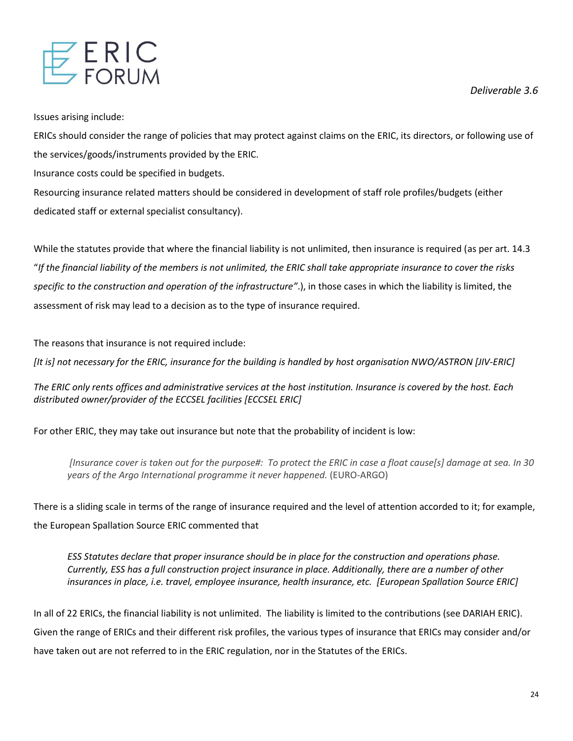

Issues arising include:

ERICs should consider the range of policies that may protect against claims on the ERIC, its directors, or following use of the services/goods/instruments provided by the ERIC.

Insurance costs could be specified in budgets.

Resourcing insurance related matters should be considered in development of staff role profiles/budgets (either dedicated staff or external specialist consultancy).

While the statutes provide that where the financial liability is not unlimited, then insurance is required (as per art. 14.3 "*If the financial liability of the members is not unlimited, the ERIC shall take appropriate insurance to cover the risks specific to the construction and operation of the infrastructure"*.), in those cases in which the liability is limited, the assessment of risk may lead to a decision as to the type of insurance required.

The reasons that insurance is not required include:

*[It is] not necessary for the ERIC, insurance for the building is handled by host organisation NWO/ASTRON [JIV-ERIC]*

*The ERIC only rents offices and administrative services at the host institution. Insurance is covered by the host. Each distributed owner/provider of the ECCSEL facilities [ECCSEL ERIC]*

For other ERIC, they may take out insurance but note that the probability of incident is low:

*[Insurance cover is taken out for the purpose#: To protect the ERIC in case a float cause[s] damage at sea. In 30 years of the Argo International programme it never happened.* (EURO-ARGO)

There is a sliding scale in terms of the range of insurance required and the level of attention accorded to it; for example, the European Spallation Source ERIC commented that

*ESS Statutes declare that proper insurance should be in place for the construction and operations phase. Currently, ESS has a full construction project insurance in place. Additionally, there are a number of other insurances in place, i.e. travel, employee insurance, health insurance, etc. [European Spallation Source ERIC]*

In all of 22 ERICs, the financial liability is not unlimited. The liability is limited to the contributions (see DARIAH ERIC). Given the range of ERICs and their different risk profiles, the various types of insurance that ERICs may consider and/or have taken out are not referred to in the ERIC regulation, nor in the Statutes of the ERICs.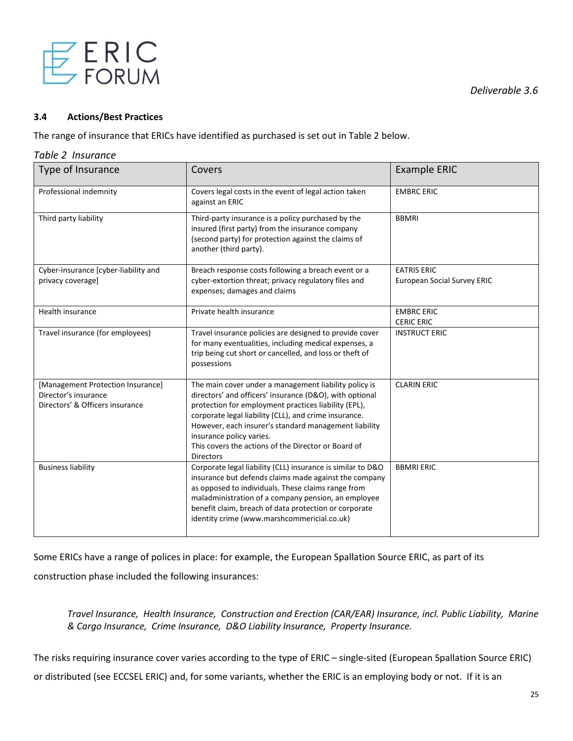

#### **3.4 Actions/Best Practices**

The range of insurance that ERICs have identified as purchased is set out in Table 2 below.

#### *Table 2 Insurance*

| Type of Insurance                                                                            | Covers                                                                                                                                                                                                                                                                                                                                                                                            | <b>Example ERIC</b>                                      |
|----------------------------------------------------------------------------------------------|---------------------------------------------------------------------------------------------------------------------------------------------------------------------------------------------------------------------------------------------------------------------------------------------------------------------------------------------------------------------------------------------------|----------------------------------------------------------|
| Professional indemnity                                                                       | Covers legal costs in the event of legal action taken<br>against an ERIC                                                                                                                                                                                                                                                                                                                          | <b>EMBRC ERIC</b>                                        |
| Third party liability                                                                        | Third-party insurance is a policy purchased by the<br>insured (first party) from the insurance company<br>(second party) for protection against the claims of<br>another (third party).                                                                                                                                                                                                           | <b>BBMRI</b>                                             |
| Cyber-insurance [cyber-liability and<br>privacy coverage]                                    | Breach response costs following a breach event or a<br>cyber-extortion threat; privacy regulatory files and<br>expenses; damages and claims                                                                                                                                                                                                                                                       | <b>EATRIS ERIC</b><br><b>European Social Survey ERIC</b> |
| Health insurance                                                                             | Private health insurance                                                                                                                                                                                                                                                                                                                                                                          | <b>EMBRC ERIC</b><br><b>CERIC ERIC</b>                   |
| Travel insurance (for employees)                                                             | Travel insurance policies are designed to provide cover<br>for many eventualities, including medical expenses, a<br>trip being cut short or cancelled, and loss or theft of<br>possessions                                                                                                                                                                                                        | <b>INSTRUCT ERIC</b>                                     |
| [Management Protection Insurance]<br>Director's insurance<br>Directors' & Officers insurance | The main cover under a management liability policy is<br>directors' and officers' insurance (D&O), with optional<br>protection for employment practices liability (EPL),<br>corporate legal liability (CLL), and crime insurance.<br>However, each insurer's standard management liability<br>insurance policy varies.<br>This covers the actions of the Director or Board of<br><b>Directors</b> | <b>CLARIN ERIC</b>                                       |
| <b>Business liability</b>                                                                    | Corporate legal liability (CLL) insurance is similar to D&O<br>insurance but defends claims made against the company<br>as opposed to individuals. These claims range from<br>maladministration of a company pension, an employee<br>benefit claim, breach of data protection or corporate<br>identity crime (www.marshcommericial.co.uk)                                                         | <b>BBMRI ERIC</b>                                        |

Some ERICs have a range of polices in place: for example, the European Spallation Source ERIC, as part of its construction phase included the following insurances:

*Travel Insurance, Health Insurance, Construction and Erection (CAR/EAR) Insurance, incl. Public Liability, Marine & Cargo Insurance, Crime Insurance, D&O Liability Insurance, Property Insurance.*

The risks requiring insurance cover varies according to the type of ERIC – single-sited (European Spallation Source ERIC) or distributed (see ECCSEL ERIC) and, for some variants, whether the ERIC is an employing body or not. If it is an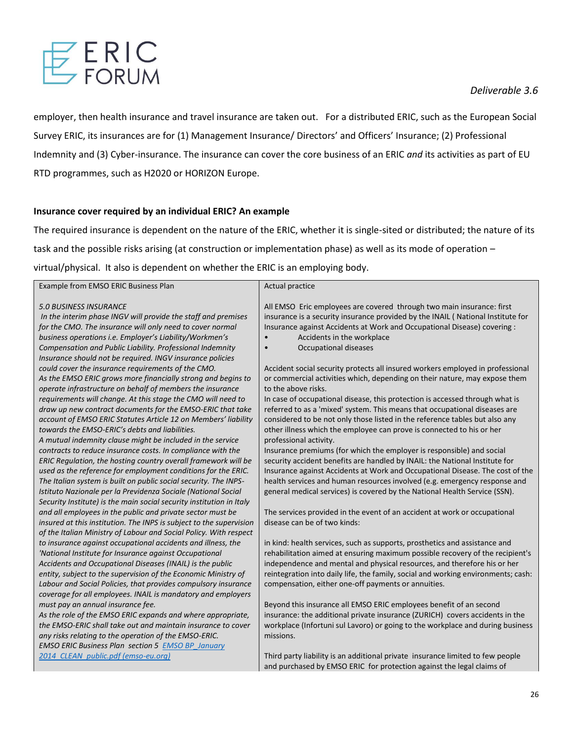

employer, then health insurance and travel insurance are taken out. For a distributed ERIC, such as the European Social Survey ERIC, its insurances are for (1) Management Insurance/ Directors' and Officers' Insurance; (2) Professional Indemnity and (3) Cyber-insurance. The insurance can cover the core business of an ERIC *and* its activities as part of EU RTD programmes, such as H2020 or HORIZON Europe.

# **Insurance cover required by an individual ERIC? An example**

The required insurance is dependent on the nature of the ERIC, whether it is single-sited or distributed; the nature of its task and the possible risks arising (at construction or implementation phase) as well as its mode of operation – virtual/physical. It also is dependent on whether the ERIC is an employing body.

| Example from EMSO ERIC Business Plan                                 | Actual practice                                                                   |
|----------------------------------------------------------------------|-----------------------------------------------------------------------------------|
| <b>5.0 BUSINESS INSURANCE</b>                                        | All EMSO Eric employees are covered through two main insurance: first             |
| In the interim phase INGV will provide the staff and premises        | insurance is a security insurance provided by the INAIL (National Institute for   |
| for the CMO. The insurance will only need to cover normal            | Insurance against Accidents at Work and Occupational Disease) covering :          |
| business operations i.e. Employer's Liability/Workmen's              | Accidents in the workplace                                                        |
| Compensation and Public Liability. Professional Indemnity            | <b>Occupational diseases</b><br>$\bullet$                                         |
| Insurance should not be required. INGV insurance policies            |                                                                                   |
| could cover the insurance requirements of the CMO.                   | Accident social security protects all insured workers employed in professional    |
| As the EMSO ERIC grows more financially strong and begins to         | or commercial activities which, depending on their nature, may expose them        |
| operate infrastructure on behalf of members the insurance            | to the above risks.                                                               |
| requirements will change. At this stage the CMO will need to         | In case of occupational disease, this protection is accessed through what is      |
| draw up new contract documents for the EMSO-ERIC that take           | referred to as a 'mixed' system. This means that occupational diseases are        |
| account of EMSO ERIC Statutes Article 12 on Members' liability       | considered to be not only those listed in the reference tables but also any       |
| towards the EMSO-ERIC's debts and liabilities.                       | other illness which the employee can prove is connected to his or her             |
| A mutual indemnity clause might be included in the service           | professional activity.                                                            |
| contracts to reduce insurance costs. In compliance with the          | Insurance premiums (for which the employer is responsible) and social             |
| ERIC Regulation, the hosting country overall framework will be       | security accident benefits are handled by INAIL: the National Institute for       |
| used as the reference for employment conditions for the ERIC.        | Insurance against Accidents at Work and Occupational Disease. The cost of the     |
| The Italian system is built on public social security. The INPS-     | health services and human resources involved (e.g. emergency response and         |
| Istituto Nazionale per la Previdenza Sociale (National Social        | general medical services) is covered by the National Health Service (SSN).        |
| Security Institute) is the main social security institution in Italy |                                                                                   |
| and all employees in the public and private sector must be           | The services provided in the event of an accident at work or occupational         |
| insured at this institution. The INPS is subject to the supervision  | disease can be of two kinds:                                                      |
| of the Italian Ministry of Labour and Social Policy. With respect    |                                                                                   |
| to insurance against occupational accidents and illness, the         | in kind: health services, such as supports, prosthetics and assistance and        |
| 'National Institute for Insurance against Occupational               | rehabilitation aimed at ensuring maximum possible recovery of the recipient's     |
| Accidents and Occupational Diseases (INAIL) is the public            | independence and mental and physical resources, and therefore his or her          |
| entity, subject to the supervision of the Economic Ministry of       | reintegration into daily life, the family, social and working environments; cash: |
| Labour and Social Policies, that provides compulsory insurance       | compensation, either one-off payments or annuities.                               |
| coverage for all employees. INAIL is mandatory and employers         |                                                                                   |
| must pay an annual insurance fee.                                    | Beyond this insurance all EMSO ERIC employees benefit of an second                |
| As the role of the EMSO ERIC expands and where appropriate,          | insurance: the additional private insurance (ZURICH) covers accidents in the      |
| the EMSO-ERIC shall take out and maintain insurance to cover         | workplace (Infortuni sul Lavoro) or going to the workplace and during business    |
| any risks relating to the operation of the EMSO-ERIC.                | missions.                                                                         |
| <b>EMSO ERIC Business Plan section 5 EMSO BP January</b>             |                                                                                   |
| 2014 CLEAN public.pdf (emso-eu.org)                                  | Third party liability is an additional private insurance limited to few people    |
|                                                                      | and purchased by EMSO ERIC for protection against the legal claims of             |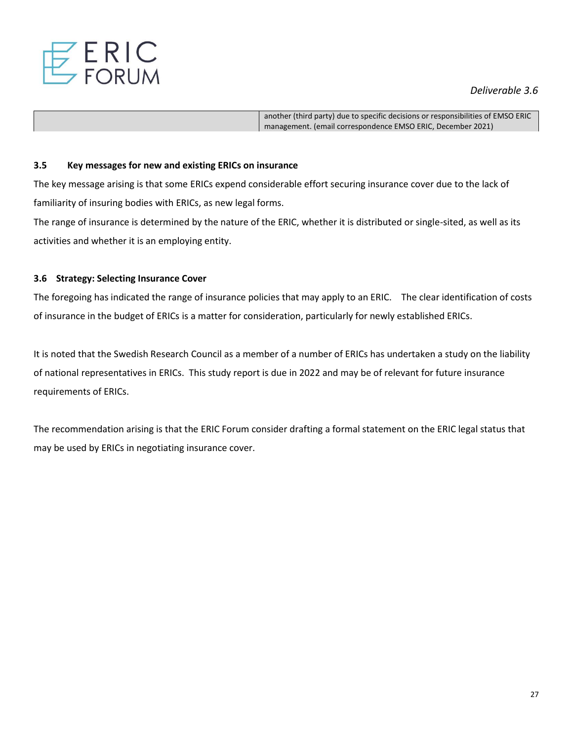

another (third party) due to specific decisions or responsibilities of EMSO ERIC management. (email correspondence EMSO ERIC, December 2021)

#### **3.5 Key messages for new and existing ERICs on insurance**

The key message arising is that some ERICs expend considerable effort securing insurance cover due to the lack of familiarity of insuring bodies with ERICs, as new legal forms.

The range of insurance is determined by the nature of the ERIC, whether it is distributed or single-sited, as well as its activities and whether it is an employing entity.

#### **3.6 Strategy: Selecting Insurance Cover**

The foregoing has indicated the range of insurance policies that may apply to an ERIC. The clear identification of costs of insurance in the budget of ERICs is a matter for consideration, particularly for newly established ERICs.

It is noted that the Swedish Research Council as a member of a number of ERICs has undertaken a study on the liability of national representatives in ERICs. This study report is due in 2022 and may be of relevant for future insurance requirements of ERICs.

The recommendation arising is that the ERIC Forum consider drafting a formal statement on the ERIC legal status that may be used by ERICs in negotiating insurance cover.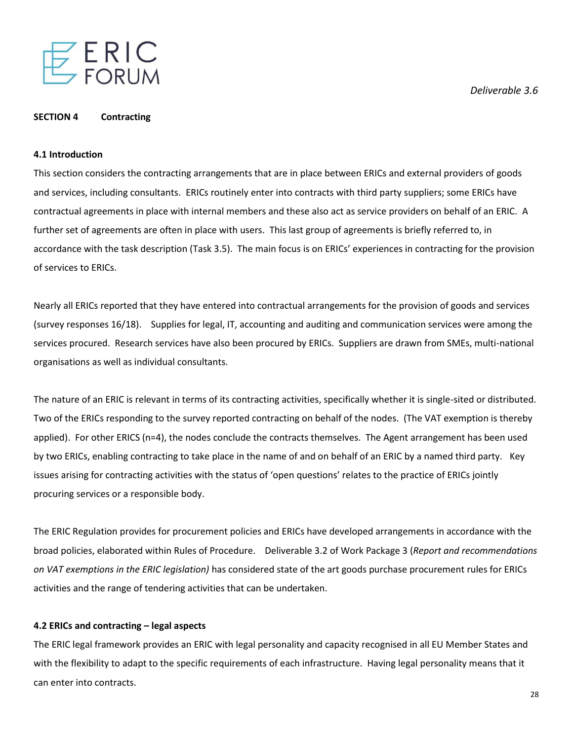

#### **SECTION 4 Contracting**

#### **4.1 Introduction**

This section considers the contracting arrangements that are in place between ERICs and external providers of goods and services, including consultants. ERICs routinely enter into contracts with third party suppliers; some ERICs have contractual agreements in place with internal members and these also act as service providers on behalf of an ERIC. A further set of agreements are often in place with users. This last group of agreements is briefly referred to, in accordance with the task description (Task 3.5). The main focus is on ERICs' experiences in contracting for the provision of services to ERICs.

Nearly all ERICs reported that they have entered into contractual arrangements for the provision of goods and services (survey responses 16/18). Supplies for legal, IT, accounting and auditing and communication services were among the services procured. Research services have also been procured by ERICs. Suppliers are drawn from SMEs, multi-national organisations as well as individual consultants.

The nature of an ERIC is relevant in terms of its contracting activities, specifically whether it is single-sited or distributed. Two of the ERICs responding to the survey reported contracting on behalf of the nodes. (The VAT exemption is thereby applied). For other ERICS (n=4), the nodes conclude the contracts themselves. The Agent arrangement has been used by two ERICs, enabling contracting to take place in the name of and on behalf of an ERIC by a named third party. Key issues arising for contracting activities with the status of 'open questions' relates to the practice of ERICs jointly procuring services or a responsible body.

The ERIC Regulation provides for procurement policies and ERICs have developed arrangements in accordance with the broad policies, elaborated within Rules of Procedure. Deliverable 3.2 of Work Package 3 (*Report and recommendations on VAT exemptions in the ERIC legislation)* has considered state of the art goods purchase procurement rules for ERICs activities and the range of tendering activities that can be undertaken.

#### **4.2 ERICs and contracting – legal aspects**

The ERIC legal framework provides an ERIC with legal personality and capacity recognised in all EU Member States and with the flexibility to adapt to the specific requirements of each infrastructure. Having legal personality means that it can enter into contracts.

*Deliverable 3.6*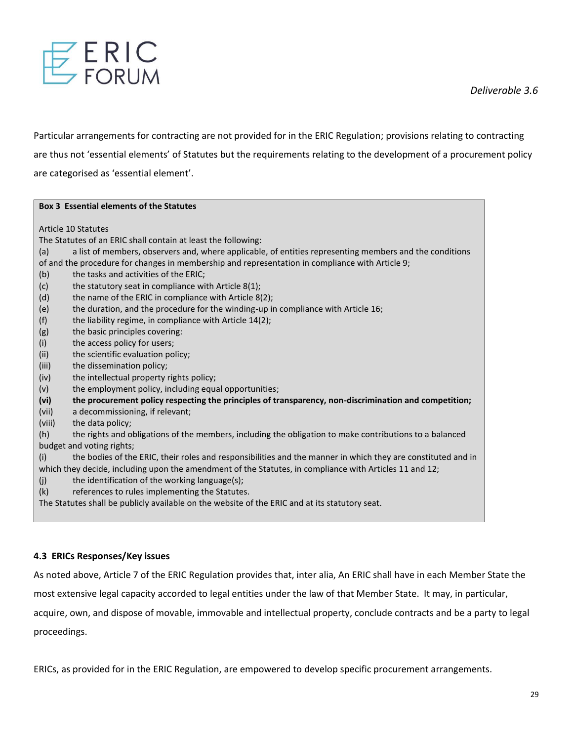

Particular arrangements for contracting are not provided for in the ERIC Regulation; provisions relating to contracting are thus not 'essential elements' of Statutes but the requirements relating to the development of a procurement policy are categorised as 'essential element'.

#### **Box 3 Essential elements of the Statutes**

Article 10 Statutes

The Statutes of an ERIC shall contain at least the following:

(a) a list of members, observers and, where applicable, of entities representing members and the conditions of and the procedure for changes in membership and representation in compliance with Article 9;

- (b) the tasks and activities of the ERIC;
- (c) the statutory seat in compliance with Article  $8(1)$ ;
- (d) the name of the ERIC in compliance with Article 8(2);
- (e) the duration, and the procedure for the winding-up in compliance with Article 16;
- $(f)$  the liability regime, in compliance with Article 14(2);
- (g) the basic principles covering:
- (i) the access policy for users;
- (ii) the scientific evaluation policy;
- (iii) the dissemination policy;
- (iv) the intellectual property rights policy;
- (v) the employment policy, including equal opportunities;

**(vi) the procurement policy respecting the principles of transparency, non-discrimination and competition;**

- (vii) a decommissioning, if relevant;
- (viii) the data policy;

(h) the rights and obligations of the members, including the obligation to make contributions to a balanced budget and voting rights;

(i) the bodies of the ERIC, their roles and responsibilities and the manner in which they are constituted and in which they decide, including upon the amendment of the Statutes, in compliance with Articles 11 and 12;

- $(i)$  the identification of the working language(s);
- (k) references to rules implementing the Statutes.

The Statutes shall be publicly available on the website of the ERIC and at its statutory seat.

#### **4.3 ERICs Responses/Key issues**

As noted above, Article 7 of the ERIC Regulation provides that, inter alia, An ERIC shall have in each Member State the

most extensive legal capacity accorded to legal entities under the law of that Member State. It may, in particular,

acquire, own, and dispose of movable, immovable and intellectual property, conclude contracts and be a party to legal proceedings.

ERICs, as provided for in the ERIC Regulation, are empowered to develop specific procurement arrangements.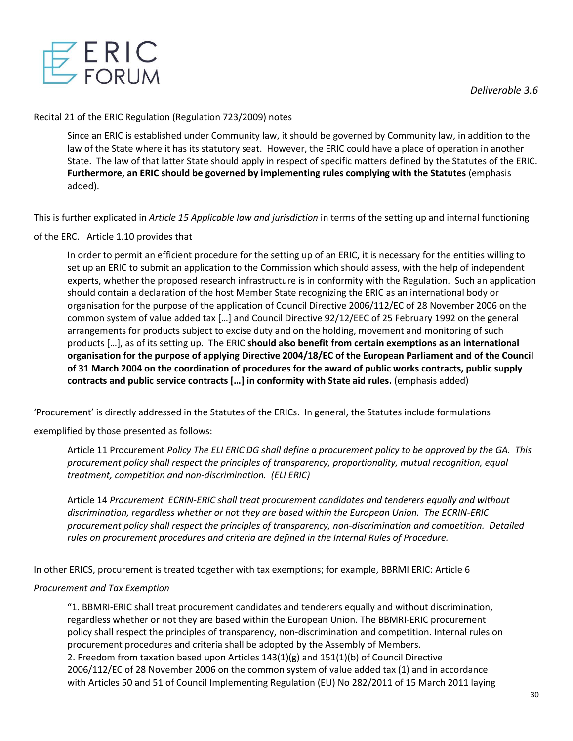

# Recital 21 of the ERIC Regulation (Regulation 723/2009) notes

Since an ERIC is established under Community law, it should be governed by Community law, in addition to the law of the State where it has its statutory seat. However, the ERIC could have a place of operation in another State. The law of that latter State should apply in respect of specific matters defined by the Statutes of the ERIC. **Furthermore, an ERIC should be governed by implementing rules complying with the Statutes** (emphasis added).

This is further explicated in *Article 15 Applicable law and jurisdiction* in terms of the setting up and internal functioning

# of the ERC. Article 1.10 provides that

In order to permit an efficient procedure for the setting up of an ERIC, it is necessary for the entities willing to set up an ERIC to submit an application to the Commission which should assess, with the help of independent experts, whether the proposed research infrastructure is in conformity with the Regulation. Such an application should contain a declaration of the host Member State recognizing the ERIC as an international body or organisation for the purpose of the application of Council Directive 2006/112/EC of 28 November 2006 on the common system of value added tax […] and Council Directive 92/12/EEC of 25 February 1992 on the general arrangements for products subject to excise duty and on the holding, movement and monitoring of such products […], as of its setting up. The ERIC **should also benefit from certain exemptions as an international organisation for the purpose of applying Directive 2004/18/EC of the European Parliament and of the Council of 31 March 2004 on the coordination of procedures for the award of public works contracts, public supply contracts and public service contracts […] in conformity with State aid rules.** (emphasis added)

'Procurement' is directly addressed in the Statutes of the ERICs. In general, the Statutes include formulations

# exemplified by those presented as follows:

Article 11 Procurement *Policy The ELI ERIC DG shall define a procurement policy to be approved by the GA. This procurement policy shall respect the principles of transparency, proportionality, mutual recognition, equal treatment, competition and non-discrimination. (ELI ERIC)*

Article 14 *Procurement ECRIN-ERIC shall treat procurement candidates and tenderers equally and without discrimination, regardless whether or not they are based within the European Union. The ECRIN-ERIC procurement policy shall respect the principles of transparency, non-discrimination and competition. Detailed rules on procurement procedures and criteria are defined in the Internal Rules of Procedure.*

In other ERICS, procurement is treated together with tax exemptions; for example, BBRMI ERIC: Article 6

# *Procurement and Tax Exemption*

"1. BBMRI-ERIC shall treat procurement candidates and tenderers equally and without discrimination, regardless whether or not they are based within the European Union. The BBMRI-ERIC procurement policy shall respect the principles of transparency, non-discrimination and competition. Internal rules on procurement procedures and criteria shall be adopted by the Assembly of Members. 2. Freedom from taxation based upon Articles  $143(1)(g)$  and  $151(1)(b)$  of Council Directive 2006/112/EC of 28 November 2006 on the common system of value added tax (1) and in accordance with Articles 50 and 51 of Council Implementing Regulation (EU) No 282/2011 of 15 March 2011 laying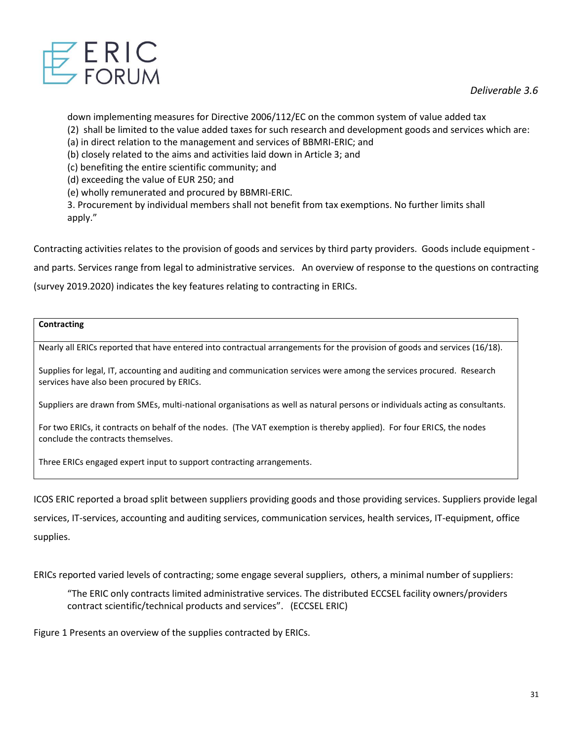

down implementing measures for Directive 2006/112/EC on the common system of value added tax

(2) shall be limited to the value added taxes for such research and development goods and services which are:

(a) in direct relation to the management and services of BBMRI-ERIC; and

(b) closely related to the aims and activities laid down in Article 3; and

(c) benefiting the entire scientific community; and

(d) exceeding the value of EUR 250; and

(e) wholly remunerated and procured by BBMRI-ERIC.

3. Procurement by individual members shall not benefit from tax exemptions. No further limits shall apply."

Contracting activities relates to the provision of goods and services by third party providers. Goods include equipment -

and parts. Services range from legal to administrative services. An overview of response to the questions on contracting

(survey 2019.2020) indicates the key features relating to contracting in ERICs.

# **Contracting**

Nearly all ERICs reported that have entered into contractual arrangements for the provision of goods and services (16/18).

Supplies for legal, IT, accounting and auditing and communication services were among the services procured. Research services have also been procured by ERICs.

Suppliers are drawn from SMEs, multi-national organisations as well as natural persons or individuals acting as consultants.

For two ERICs, it contracts on behalf of the nodes. (The VAT exemption is thereby applied). For four ERICS, the nodes conclude the contracts themselves.

Three ERICs engaged expert input to support contracting arrangements.

ICOS ERIC reported a broad split between suppliers providing goods and those providing services. Suppliers provide legal services, IT-services, accounting and auditing services, communication services, health services, IT-equipment, office supplies.

ERICs reported varied levels of contracting; some engage several suppliers, others, a minimal number of suppliers:

"The ERIC only contracts limited administrative services. The distributed ECCSEL facility owners/providers contract scientific/technical products and services". (ECCSEL ERIC)

Figure 1 Presents an overview of the supplies contracted by ERICs.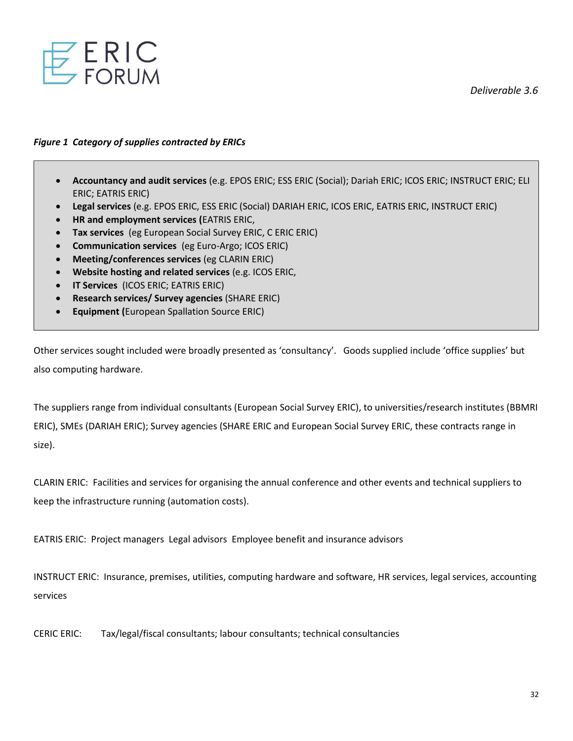

# *Figure 1 Category of supplies contracted by ERICs*

- **Accountancy and audit services** (e.g. EPOS ERIC; ESS ERIC (Social); Dariah ERIC; ICOS ERIC; INSTRUCT ERIC; ELI ERIC; EATRIS ERIC)
- **Legal services** (e.g. EPOS ERIC, ESS ERIC (Social) DARIAH ERIC, ICOS ERIC, EATRIS ERIC, INSTRUCT ERIC)
- **HR and employment services (**EATRIS ERIC,
- **Tax services** (eg European Social Survey ERIC, C ERIC ERIC)
- **Communication services** (eg Euro-Argo; ICOS ERIC)
- **Meeting/conferences services** (eg CLARIN ERIC)
- **Website hosting and related services** (e.g. ICOS ERIC,
- **IT Services** (ICOS ERIC; EATRIS ERIC)
- **Research services/ Survey agencies** (SHARE ERIC)
- **Equipment (**European Spallation Source ERIC)

Other services sought included were broadly presented as 'consultancy'. Goods supplied include 'office supplies' but also computing hardware.

The suppliers range from individual consultants (European Social Survey ERIC), to universities/research institutes (BBMRI ERIC), SMEs (DARIAH ERIC); Survey agencies (SHARE ERIC and European Social Survey ERIC, these contracts range in size).

CLARIN ERIC: Facilities and services for organising the annual conference and other events and technical suppliers to keep the infrastructure running (automation costs).

EATRIS ERIC: Project managers Legal advisors Employee benefit and insurance advisors

INSTRUCT ERIC: Insurance, premises, utilities, computing hardware and software, HR services, legal services, accounting services

CERIC ERIC: Tax/legal/fiscal consultants; labour consultants; technical consultancies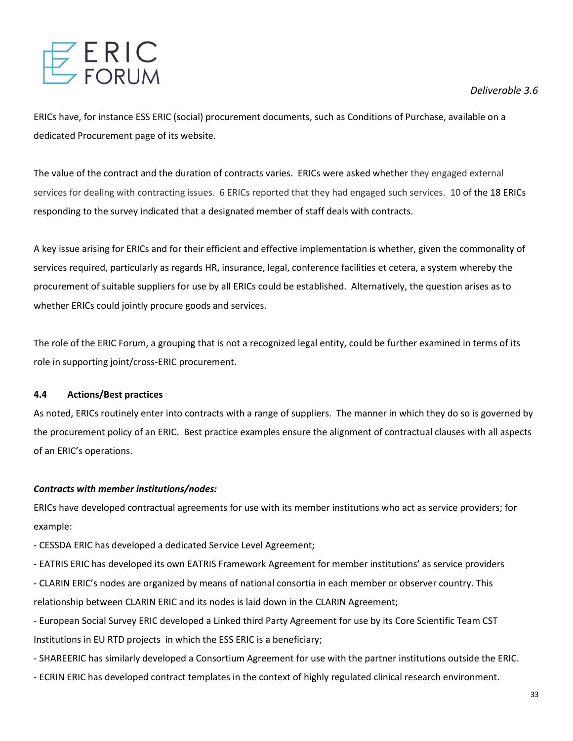

ERICs have, for instance ESS ERIC (social) procurement documents, such as Conditions of Purchase, available on a dedicated Procurement page of its website.

The value of the contract and the duration of contracts varies. ERICs were asked whether they engaged external services for dealing with contracting issues. 6 ERICs reported that they had engaged such services. 10 of the 18 ERICs responding to the survey indicated that a designated member of staff deals with contracts.

A key issue arising for ERICs and for their efficient and effective implementation is whether, given the commonality of services required, particularly as regards HR, insurance, legal, conference facilities et cetera, a system whereby the procurement of suitable suppliers for use by all ERICs could be established. Alternatively, the question arises as to whether ERICs could jointly procure goods and services.

The role of the ERIC Forum, a grouping that is not a recognized legal entity, could be further examined in terms of its role in supporting joint/cross-ERIC procurement.

# **4.4 Actions/Best practices**

As noted, ERICs routinely enter into contracts with a range of suppliers. The manner in which they do so is governed by the procurement policy of an ERIC. Best practice examples ensure the alignment of contractual clauses with all aspects of an ERIC's operations.

# *Contracts with member institutions/nodes:*

ERICs have developed contractual agreements for use with its member institutions who act as service providers; for example:

- CESSDA ERIC has developed a dedicated Service Level Agreement;
- EATRIS ERIC has developed its own EATRIS Framework Agreement for member institutions' as service providers
- CLARIN ERIC's nodes are organized by means of national consortia in each member or observer country. This

relationship between CLARIN ERIC and its nodes is laid down in the CLARIN Agreement;

- European Social Survey ERIC developed a Linked third Party Agreement for use by its Core Scientific Team CST Institutions in EU RTD projects in which the ESS ERIC is a beneficiary;
- SHAREERIC has similarly developed a Consortium Agreement for use with the partner institutions outside the ERIC.
- ECRIN ERIC has developed contract templates in the context of highly regulated clinical research environment.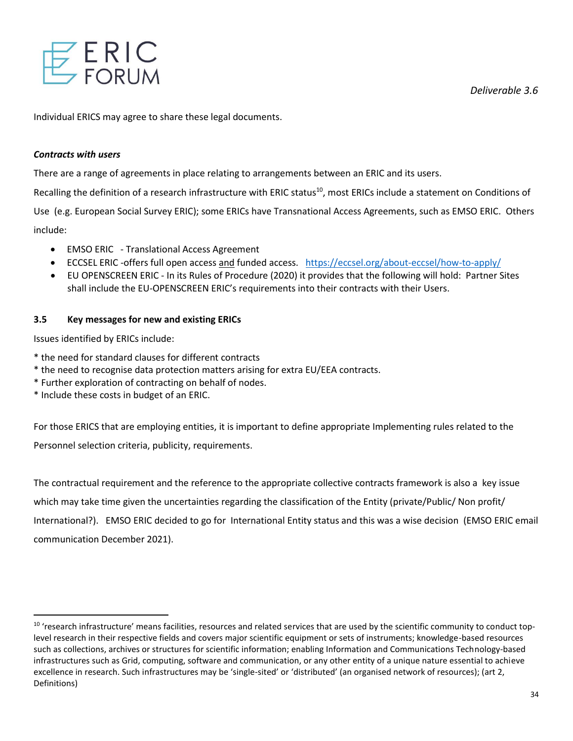

Individual ERICS may agree to share these legal documents.

# *Contracts with users*

There are a range of agreements in place relating to arrangements between an ERIC and its users.

Recalling the definition of a research infrastructure with ERIC status<sup>10</sup>, most ERICs include a statement on Conditions of

Use (e.g. European Social Survey ERIC); some ERICs have Transnational Access Agreements, such as EMSO ERIC. Others include:

- EMSO ERIC Translational Access Agreement
- ECCSEL ERIC -offers full open access and funded access. <https://eccsel.org/about-eccsel/how-to-apply/>
- EU OPENSCREEN ERIC In its Rules of Procedure (2020) it provides that the following will hold: Partner Sites shall include the EU-OPENSCREEN ERIC's requirements into their contracts with their Users.

# **3.5 Key messages for new and existing ERICs**

Issues identified by ERICs include:

- \* the need for standard clauses for different contracts
- \* the need to recognise data protection matters arising for extra EU/EEA contracts.
- \* Further exploration of contracting on behalf of nodes.
- \* Include these costs in budget of an ERIC.

For those ERICS that are employing entities, it is important to define appropriate Implementing rules related to the Personnel selection criteria, publicity, requirements.

The contractual requirement and the reference to the appropriate collective contracts framework is also a key issue which may take time given the uncertainties regarding the classification of the Entity (private/Public/ Non profit/ International?). EMSO ERIC decided to go for International Entity status and this was a wise decision (EMSO ERIC email communication December 2021).

<sup>&</sup>lt;sup>10</sup> 'research infrastructure' means facilities, resources and related services that are used by the scientific community to conduct toplevel research in their respective fields and covers major scientific equipment or sets of instruments; knowledge-based resources such as collections, archives or structures for scientific information; enabling Information and Communications Technology-based infrastructures such as Grid, computing, software and communication, or any other entity of a unique nature essential to achieve excellence in research. Such infrastructures may be 'single-sited' or 'distributed' (an organised network of resources); (art 2, Definitions)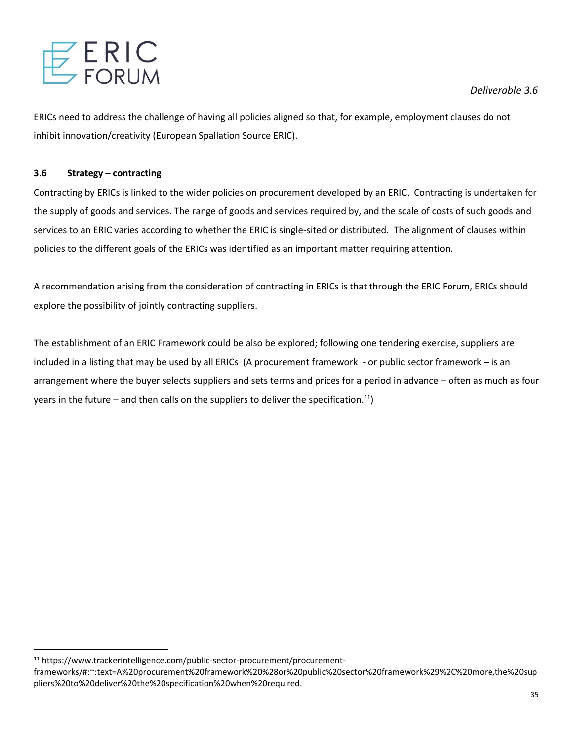

ERICs need to address the challenge of having all policies aligned so that, for example, employment clauses do not inhibit innovation/creativity (European Spallation Source ERIC).

# **3.6 Strategy – contracting**

Contracting by ERICs is linked to the wider policies on procurement developed by an ERIC. Contracting is undertaken for the supply of goods and services. The range of goods and services required by, and the scale of costs of such goods and services to an ERIC varies according to whether the ERIC is single-sited or distributed. The alignment of clauses within policies to the different goals of the ERICs was identified as an important matter requiring attention.

A recommendation arising from the consideration of contracting in ERICs is that through the ERIC Forum, ERICs should explore the possibility of jointly contracting suppliers.

The establishment of an ERIC Framework could be also be explored; following one tendering exercise, suppliers are included in a listing that may be used by all ERICs (A procurement framework - or public sector framework – is an arrangement where the buyer selects suppliers and sets terms and prices for a period in advance – often as much as four years in the future – and then calls on the suppliers to deliver the specification.<sup>11</sup>)

<sup>11</sup> https://www.trackerintelligence.com/public-sector-procurement/procurement-

frameworks/#:~:text=A%20procurement%20framework%20%28or%20public%20sector%20framework%29%2C%20more,the%20sup pliers%20to%20deliver%20the%20specification%20when%20required.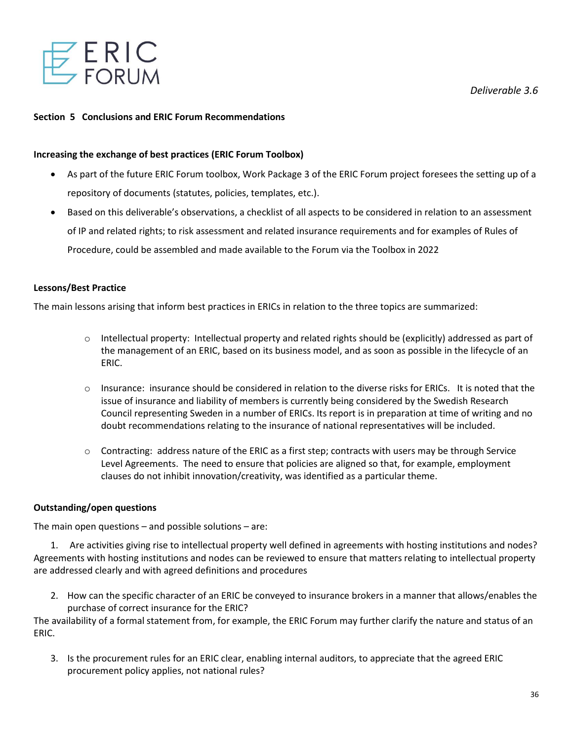

#### **Section 5 Conclusions and ERIC Forum Recommendations**

#### **Increasing the exchange of best practices (ERIC Forum Toolbox)**

- As part of the future ERIC Forum toolbox, Work Package 3 of the ERIC Forum project foresees the setting up of a repository of documents (statutes, policies, templates, etc.).
- Based on this deliverable's observations, a checklist of all aspects to be considered in relation to an assessment of IP and related rights; to risk assessment and related insurance requirements and for examples of Rules of Procedure, could be assembled and made available to the Forum via the Toolbox in 2022

#### **Lessons/Best Practice**

The main lessons arising that inform best practices in ERICs in relation to the three topics are summarized:

- $\circ$  Intellectual property: Intellectual property and related rights should be (explicitly) addressed as part of the management of an ERIC, based on its business model, and as soon as possible in the lifecycle of an ERIC.
- $\circ$  Insurance: insurance should be considered in relation to the diverse risks for ERICs. It is noted that the issue of insurance and liability of members is currently being considered by the Swedish Research Council representing Sweden in a number of ERICs. Its report is in preparation at time of writing and no doubt recommendations relating to the insurance of national representatives will be included.
- $\circ$  Contracting: address nature of the ERIC as a first step; contracts with users may be through Service Level Agreements. The need to ensure that policies are aligned so that, for example, employment clauses do not inhibit innovation/creativity, was identified as a particular theme.

# **Outstanding/open questions**

The main open questions – and possible solutions – are:

1. Are activities giving rise to intellectual property well defined in agreements with hosting institutions and nodes? Agreements with hosting institutions and nodes can be reviewed to ensure that matters relating to intellectual property are addressed clearly and with agreed definitions and procedures

2. How can the specific character of an ERIC be conveyed to insurance brokers in a manner that allows/enables the purchase of correct insurance for the ERIC?

The availability of a formal statement from, for example, the ERIC Forum may further clarify the nature and status of an ERIC.

3. Is the procurement rules for an ERIC clear, enabling internal auditors, to appreciate that the agreed ERIC procurement policy applies, not national rules?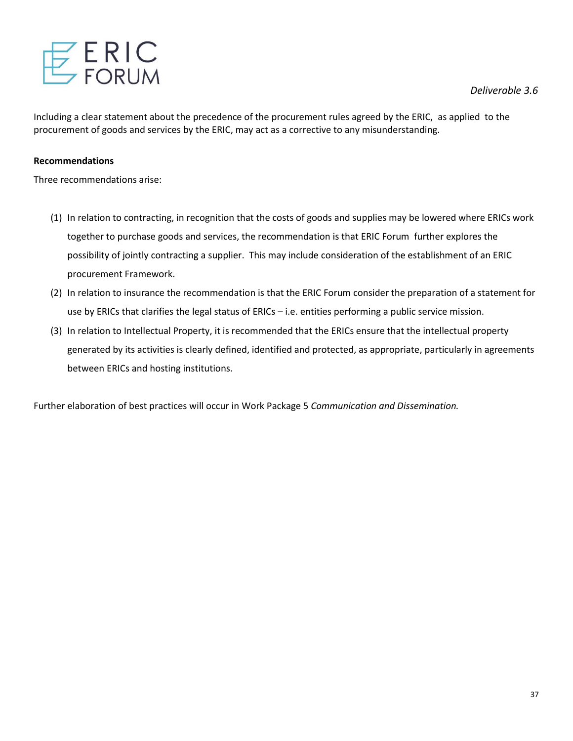

Including a clear statement about the precedence of the procurement rules agreed by the ERIC, as applied to the procurement of goods and services by the ERIC, may act as a corrective to any misunderstanding.

# **Recommendations**

Three recommendations arise:

- (1) In relation to contracting, in recognition that the costs of goods and supplies may be lowered where ERICs work together to purchase goods and services, the recommendation is that ERIC Forum further explores the possibility of jointly contracting a supplier. This may include consideration of the establishment of an ERIC procurement Framework.
- (2) In relation to insurance the recommendation is that the ERIC Forum consider the preparation of a statement for use by ERICs that clarifies the legal status of ERICs – i.e. entities performing a public service mission.
- (3) In relation to Intellectual Property, it is recommended that the ERICs ensure that the intellectual property generated by its activities is clearly defined, identified and protected, as appropriate, particularly in agreements between ERICs and hosting institutions.

Further elaboration of best practices will occur in Work Package 5 *Communication and Dissemination.*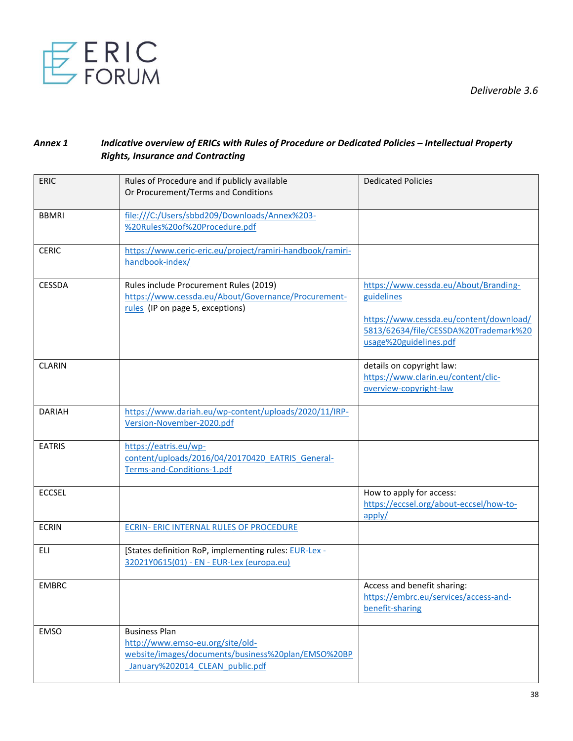

# *Annex 1 Indicative overview of ERICs with Rules of Procedure or Dedicated Policies – Intellectual Property Rights, Insurance and Contracting*

| <b>ERIC</b>   | Rules of Procedure and if publicly available<br>Or Procurement/Terms and Conditions                                                               | <b>Dedicated Policies</b>                                                                                                                                         |
|---------------|---------------------------------------------------------------------------------------------------------------------------------------------------|-------------------------------------------------------------------------------------------------------------------------------------------------------------------|
| <b>BBMRI</b>  | file:///C:/Users/sbbd209/Downloads/Annex%203-<br>%20Rules%20of%20Procedure.pdf                                                                    |                                                                                                                                                                   |
| <b>CERIC</b>  | https://www.ceric-eric.eu/project/ramiri-handbook/ramiri-<br>handbook-index/                                                                      |                                                                                                                                                                   |
| <b>CESSDA</b> | Rules include Procurement Rules (2019)<br>https://www.cessda.eu/About/Governance/Procurement-<br>rules (IP on page 5, exceptions)                 | https://www.cessda.eu/About/Branding-<br>guidelines<br>https://www.cessda.eu/content/download/<br>5813/62634/file/CESSDA%20Trademark%20<br>usage%20guidelines.pdf |
| <b>CLARIN</b> |                                                                                                                                                   | details on copyright law:<br>https://www.clarin.eu/content/clic-<br>overview-copyright-law                                                                        |
| <b>DARIAH</b> | https://www.dariah.eu/wp-content/uploads/2020/11/IRP-<br>Version-November-2020.pdf                                                                |                                                                                                                                                                   |
| <b>EATRIS</b> | https://eatris.eu/wp-<br>content/uploads/2016/04/20170420 EATRIS General-<br>Terms-and-Conditions-1.pdf                                           |                                                                                                                                                                   |
| <b>ECCSEL</b> |                                                                                                                                                   | How to apply for access:<br>https://eccsel.org/about-eccsel/how-to-<br>apply/                                                                                     |
| <b>ECRIN</b>  | <b>ECRIN- ERIC INTERNAL RULES OF PROCEDURE</b>                                                                                                    |                                                                                                                                                                   |
| ELI           | [States definition RoP, implementing rules: EUR-Lex -<br>32021Y0615(01) - EN - EUR-Lex (europa.eu)                                                |                                                                                                                                                                   |
| <b>EMBRC</b>  |                                                                                                                                                   | Access and benefit sharing:<br>https://embrc.eu/services/access-and-<br>benefit-sharing                                                                           |
| <b>EMSO</b>   | <b>Business Plan</b><br>http://www.emso-eu.org/site/old-<br>website/images/documents/business%20plan/EMSO%20BP<br>January%202014 CLEAN public.pdf |                                                                                                                                                                   |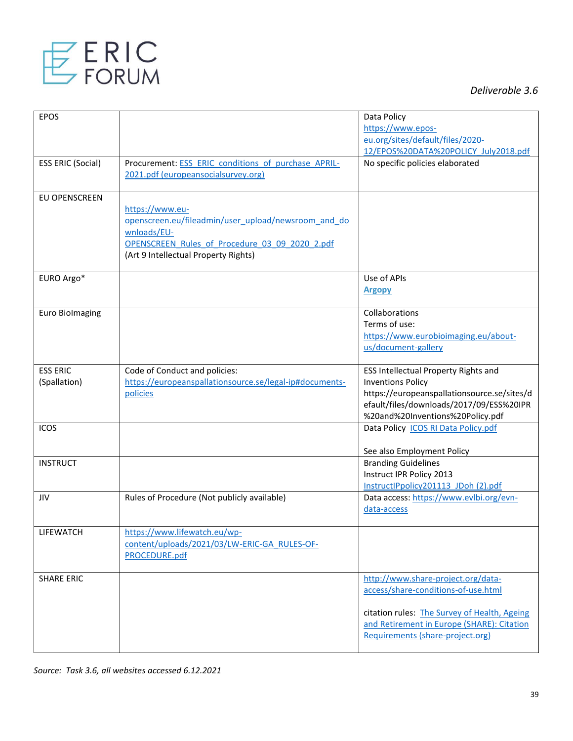

| <b>EPOS</b>              |                                                         | Data Policy                                  |
|--------------------------|---------------------------------------------------------|----------------------------------------------|
|                          |                                                         | https://www.epos-                            |
|                          |                                                         | eu.org/sites/default/files/2020-             |
|                          |                                                         |                                              |
|                          |                                                         | 12/EPOS%20DATA%20POLICY July2018.pdf         |
| <b>ESS ERIC (Social)</b> | Procurement: ESS ERIC conditions of purchase APRIL-     | No specific policies elaborated              |
|                          | 2021.pdf (europeansocialsurvey.org)                     |                                              |
|                          |                                                         |                                              |
|                          |                                                         |                                              |
| EU OPENSCREEN            |                                                         |                                              |
|                          | https://www.eu-                                         |                                              |
|                          | openscreen.eu/fileadmin/user_upload/newsroom_and_do     |                                              |
|                          | wnloads/EU-                                             |                                              |
|                          | OPENSCREEN Rules of Procedure 03 09 2020 2.pdf          |                                              |
|                          |                                                         |                                              |
|                          | (Art 9 Intellectual Property Rights)                    |                                              |
|                          |                                                         |                                              |
| EURO Argo*               |                                                         | Use of APIs                                  |
|                          |                                                         | <b>Argopy</b>                                |
|                          |                                                         |                                              |
| <b>Euro Biolmaging</b>   |                                                         | Collaborations                               |
|                          |                                                         | Terms of use:                                |
|                          |                                                         |                                              |
|                          |                                                         | https://www.eurobioimaging.eu/about-         |
|                          |                                                         | us/document-gallery                          |
|                          |                                                         |                                              |
| <b>ESS ERIC</b>          | Code of Conduct and policies:                           | ESS Intellectual Property Rights and         |
| (Spallation)             | https://europeanspallationsource.se/legal-ip#documents- | <b>Inventions Policy</b>                     |
|                          | policies                                                | https://europeanspallationsource.se/sites/d  |
|                          |                                                         |                                              |
|                          |                                                         | efault/files/downloads/2017/09/ESS%20IPR     |
|                          |                                                         | %20and%20Inventions%20Policy.pdf             |
| <b>ICOS</b>              |                                                         | Data Policy ICOS RI Data Policy.pdf          |
|                          |                                                         |                                              |
|                          |                                                         | See also Employment Policy                   |
| <b>INSTRUCT</b>          |                                                         | <b>Branding Guidelines</b>                   |
|                          |                                                         | Instruct IPR Policy 2013                     |
|                          |                                                         | InstructlPpolicy201113 JDoh (2).pdf          |
|                          |                                                         |                                              |
| JIV                      | Rules of Procedure (Not publicly available)             | Data access: https://www.evlbi.org/evn-      |
|                          |                                                         | data-access                                  |
|                          |                                                         |                                              |
| LIFEWATCH                | https://www.lifewatch.eu/wp-                            |                                              |
|                          | content/uploads/2021/03/LW-ERIC-GA RULES-OF-            |                                              |
|                          | PROCEDURE.pdf                                           |                                              |
|                          |                                                         |                                              |
| <b>SHARE ERIC</b>        |                                                         | http://www.share-project.org/data-           |
|                          |                                                         |                                              |
|                          |                                                         | access/share-conditions-of-use.html          |
|                          |                                                         |                                              |
|                          |                                                         | citation rules: The Survey of Health, Ageing |
|                          |                                                         | and Retirement in Europe (SHARE): Citation   |
|                          |                                                         | Requirements (share-project.org)             |
|                          |                                                         |                                              |
|                          |                                                         |                                              |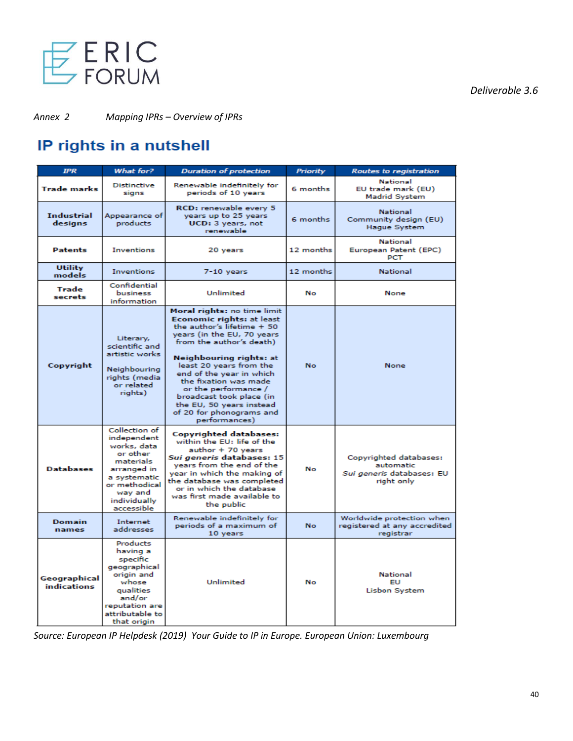

*Annex 2 Mapping IPRs – Overview of IPRs*

# IP rights in a nutshell

| <b>IPR</b>                   | What for?                                                                                                                                                     | <b>Duration of protection</b>                                                                                                                                                                                                                                                                                                                                                            | <b>Priority</b> | <b>Routes to registration</b>                                                  |  |  |
|------------------------------|---------------------------------------------------------------------------------------------------------------------------------------------------------------|------------------------------------------------------------------------------------------------------------------------------------------------------------------------------------------------------------------------------------------------------------------------------------------------------------------------------------------------------------------------------------------|-----------------|--------------------------------------------------------------------------------|--|--|
| <b>Trade marks</b>           | <b>Distinctive</b><br>signs                                                                                                                                   | Renewable indefinitely for<br>periods of 10 years                                                                                                                                                                                                                                                                                                                                        | 6 months        | National<br>EU trade mark (EU)<br><b>Madrid System</b>                         |  |  |
| <b>Industrial</b><br>designs | Appearance of<br>products                                                                                                                                     | RCD: renewable every 5<br>years up to 25 years<br>UCD: 3 years, not<br>renewable                                                                                                                                                                                                                                                                                                         | 6 months        | <b>National</b><br>Community design (EU)<br><b>Haque System</b>                |  |  |
| <b>Patents</b>               | <b>Inventions</b>                                                                                                                                             | 12 months<br>20 years                                                                                                                                                                                                                                                                                                                                                                    |                 | <b>National</b><br>European Patent (EPC)<br><b>PCT</b>                         |  |  |
| <b>Utility</b><br>models     | <b>Inventions</b>                                                                                                                                             | $7-10$ years                                                                                                                                                                                                                                                                                                                                                                             | 12 months       | <b>National</b>                                                                |  |  |
| Trade<br>secrets             | Confidential<br>business<br>information                                                                                                                       | <b>Unlimited</b>                                                                                                                                                                                                                                                                                                                                                                         | No              | None                                                                           |  |  |
| Copyright                    | Literary,<br>scientific and<br>artistic works<br>Neighbouring<br>rights (media<br>or related<br>rights)                                                       | Moral rights: no time limit<br>Economic rights: at least<br>the author's lifetime + 50<br>years (in the EU, 70 years<br>from the author's death)<br>Neighbouring rights: at<br>least 20 years from the<br>end of the year in which<br>the fixation was made<br>or the performance /<br>broadcast took place (in<br>the EU, 50 years instead<br>of 20 for phonograms and<br>performances) | <b>No</b>       | <b>None</b>                                                                    |  |  |
| <b>Databases</b>             | Collection of<br>independent<br>works, data<br>or other<br>materials<br>arranged in<br>a systematic<br>or methodical<br>wav and<br>individually<br>accessible | Copyrighted databases:<br>within the EU: life of the<br>author + 70 years<br>Sui generis databases: 15<br>years from the end of the<br>year in which the making of<br>the database was completed<br>or in which the database<br>was first made available to<br>the public                                                                                                                | No              | Copyrighted databases:<br>automatic<br>Sui generis databases: EU<br>right only |  |  |
| <b>Domain</b><br>names       | Internet<br>addresses                                                                                                                                         | Renewable indefinitely for<br>periods of a maximum of<br>10 years                                                                                                                                                                                                                                                                                                                        | <b>No</b>       | Worldwide protection when<br>registered at any accredited<br>registrar         |  |  |
| Geographical<br>indications  | Products<br>having a<br>specific<br>geographical<br>origin and<br>whose<br>qualities<br>and/or<br>reputation are<br>attributable to<br>that origin            | <b>Unlimited</b>                                                                                                                                                                                                                                                                                                                                                                         | No              | <b>National</b><br>ΕU<br><b>Lisbon System</b>                                  |  |  |

*Source: European IP Helpdesk (2019) Your Guide to IP in Europe. European Union: Luxembourg*